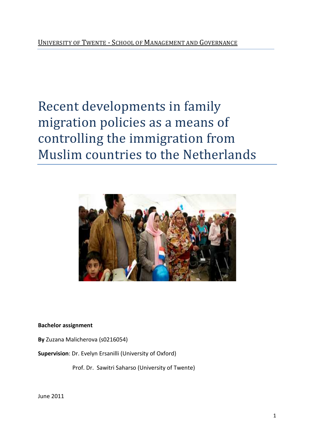# Recent developments in family migration policies as a means of controlling the immigration from Muslim countries to the Netherlands



**Bachelor assignment** 

**By** Zuzana Malicherova (s0216054)

**Supervision**: Dr. Evelyn Ersanilli ( (University of Oxford)

Prof. Dr. Sawitri Saharso (University of Twente)

June 2011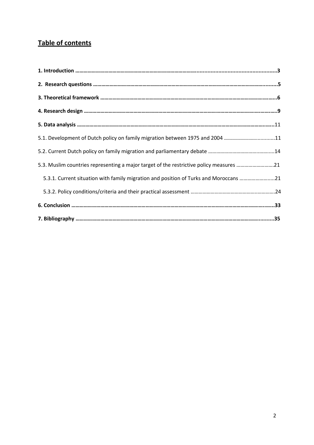# **Table of contents**

| 5.1. Development of Dutch policy on family migration between 1975 and 2004 11           |  |
|-----------------------------------------------------------------------------------------|--|
|                                                                                         |  |
| 5.3. Muslim countries representing a major target of the restrictive policy measures 21 |  |
| 5.3.1. Current situation with family migration and position of Turks and Moroccans 21   |  |
|                                                                                         |  |
|                                                                                         |  |
|                                                                                         |  |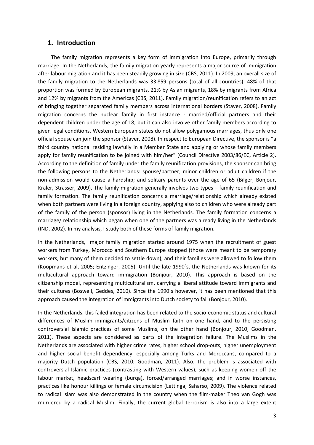### **1. Introduction**

 The family migration represents a key form of immigration into Europe, primarily through marriage. In the Netherlands, the family migration yearly represents a major source of immigration after labour migration and it has been steadily growing in size (CBS, 2011). In 2009, an overall size of the family migration to the Netherlands was 33 859 persons (total of all countries). 48% of that proportion was formed by European migrants, 21% by Asian migrants, 18% by migrants from Africa and 12% by migrants from the Americas (CBS, 2011). Family migration/reunification refers to an act of bringing together separated family members across international borders (Staver, 2008). Family migration concerns the nuclear family in first instance - married/official partners and their dependent children under the age of 18; but it can also involve other family members according to given legal conditions. Western European states do not allow polygamous marriages, thus only one official spouse can join the sponsor (Staver, 2008). In respect to European Directive, the sponsor is "a third country national residing lawfully in a Member State and applying or whose family members apply for family reunification to be joined with him/her" (Council Directive 2003/86/EC, Article 2). According to the definition of family under the family reunification provisions, the sponsor can bring the following persons to the Netherlands: spouse/partner; minor children or adult children if the non-admission would cause a hardship; and solitary parents over the age of 65 (Bilger, Bonjour, Kraler, Strasser, 2009). The family migration generally involves two types – family reunification and family formation. The family reunification concerns a marriage/relationship which already existed when both partners were living in a foreign country, applying also to children who were already part of the family of the person (sponsor) living in the Netherlands. The family formation concerns a marriage/ relationship which began when one of the partners was already living in the Netherlands (IND, 2002). In my analysis, I study both of these forms of family migration.

In the Netherlands, major family migration started around 1975 when the recruitment of guest workers from Turkey, Morocco and Southern Europe stopped (those were meant to be temporary workers, but many of them decided to settle down), and their families were allowed to follow them (Koopmans et al, 2005; Entzinger, 2005). Until the late 1990´s, the Netherlands was known for its multicultural approach toward immigration (Bonjour, 2010). This approach is based on the citizenship model, representing multiculturalism, carrying a liberal attitude toward immigrants and their cultures (Boswell, Geddes, 2010). Since the 1990´s however, it has been mentioned that this approach caused the integration of immigrants into Dutch society to fail (Bonjour, 2010).

In the Netherlands, this failed integration has been related to the socio-economic status and cultural differences of Muslim immigrants/citizens of Muslim faith on one hand, and to the persisting controversial Islamic practices of some Muslims, on the other hand (Bonjour, 2010; Goodman, 2011). These aspects are considered as parts of the integration failure. The Muslims in the Netherlands are associated with higher crime rates, higher school drop-outs, higher unemployment and higher social benefit dependency, especially among Turks and Moroccans, compared to a majority Dutch population (CBS, 2010; Goodman, 2011). Also, the problem is associated with controversial Islamic practices (contrasting with Western values), such as keeping women off the labour market, headscarf wearing (burqa), forced/arranged marriages; and in worse instances, practices like honour killings or female circumcision (Lettinga, Saharso, 2009). The violence related to radical Islam was also demonstrated in the country when the film-maker Theo van Gogh was murdered by a radical Muslim. Finally, the current global terrorism is also into a large extent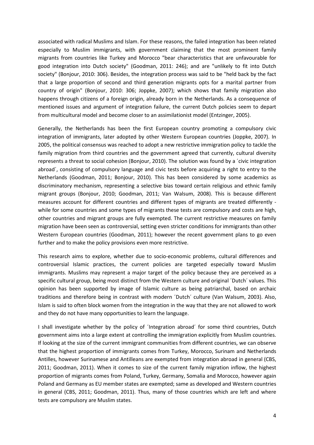associated with radical Muslims and Islam. For these reasons, the failed integration has been related especially to Muslim immigrants, with government claiming that the most prominent family migrants from countries like Turkey and Morocco "bear characteristics that are unfavourable for good integration into Dutch society" (Goodman, 2011: 246); and are "unlikely to fit into Dutch society" (Bonjour, 2010: 306). Besides, the integration process was said to be "held back by the fact that a large proportion of second and third generation migrants opts for a marital partner from country of origin" (Bonjour, 2010: 306; Joppke, 2007); which shows that family migration also happens through citizens of a foreign origin, already born in the Netherlands. As a consequence of mentioned issues and argument of integration failure, the current Dutch policies seem to depart from multicultural model and become closer to an assimilationist model (Entzinger, 2005).

Generally, the Netherlands has been the first European country promoting a compulsory civic integration of immigrants, later adopted by other Western European countries (Joppke, 2007). In 2005, the political consensus was reached to adopt a new restrictive immigration policy to tackle the family migration from third countries and the government agreed that currently, cultural diversity represents a threat to social cohesion (Bonjour, 2010). The solution was found by a ´civic integration abroad´, consisting of compulsory language and civic tests before acquiring a right to entry to the Netherlands (Goodman, 2011; Bonjour, 2010). This has been considered by some academics as discriminatory mechanism, representing a selective bias toward certain religious and ethnic family migrant groups (Bonjour, 2010; Goodman, 2011; Van Walsum, 2008). This is because different measures account for different countries and different types of migrants are treated differently while for some countries and some types of migrants these tests are compulsory and costs are high, other countries and migrant groups are fully exempted. The current restrictive measures on family migration have been seen as controversial, setting even stricter conditions for immigrants than other Western European countries (Goodman, 2011); however the recent government plans to go even further and to make the policy provisions even more restrictive.

This research aims to explore, whether due to socio-economic problems, cultural differences and controversial Islamic practices, the current policies are targeted especially toward Muslim immigrants. Muslims may represent a major target of the policy because they are perceived as a specific cultural group, being most distinct from the Western culture and original ´Dutch´ values. This opinion has been supported by image of Islamic culture as being patriarchal, based on archaic traditions and therefore being in contrast with modern ´Dutch´ culture (Van Walsum, 2003). Also, Islam is said to often block women from the integration in the way that they are not allowed to work and they do not have many opportunities to learn the language.

I shall investigate whether by the policy of ´Integration abroad´ for some third countries, Dutch government aims into a large extent at controlling the immigration explicitly from Muslim countries. If looking at the size of the current immigrant communities from different countries, we can observe that the highest proportion of immigrants comes from Turkey, Morocco, Surinam and Netherlands Antilles, however Surinamese and Antilleans are exempted from integration abroad in general (CBS, 2011; Goodman, 2011). When it comes to size of the current family migration inflow, the highest proportion of migrants comes from Poland, Turkey, Germany, Somalia and Morocco, however again Poland and Germany as EU member states are exempted; same as developed and Western countries in general (CBS, 2011; Goodman, 2011). Thus, many of those countries which are left and where tests are compulsory are Muslim states.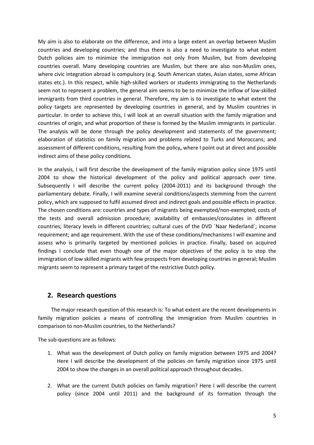My aim is also to elaborate on the difference, and into a large extent an overlap between Muslim countries and developing countries; and thus there is also a need to investigate to what extent Dutch policies aim to minimize the immigration not only from Muslim, but from developing countries overall. Many developing countries are Muslim, but there are also non-Muslim ones, where civic integration abroad is compulsory (e.g. South American states, Asian states, some African states etc.). In this respect, while high-skilled workers or students immigrating to the Netherlands seem not to represent a problem, the general aim seems to be to minimize the inflow of low-skilled immigrants from third countries in general. Therefore, my aim is to investigate to what extent the policy targets are represented by developing countries in general, and by Muslim countries in particular. In order to achieve this, I will look at an overall situation with the family migration and countries of origin, and what proportion of these is formed by the Muslim immigrants in particular. The analysis will be done through the policy development and statements of the government; elaboration of statistics on family migration and problems related to Turks and Moroccans; and assessment of different conditions, resulting from the policy**,** where I point out at direct and possible indirect aims of these policy conditions.

In the analysis, I will first describe the development of the family migration policy since 1975 until 2004 to show the historical development of the policy and political approach over time. Subsequently I will describe the current policy (2004-2011) and its background through the parliamentary debate. Finally, I will examine several conditions/aspects stemming from the current policy, which are supposed to fulfil assumed direct and indirect goals and possible effects in practice. The chosen conditions are: countries and types of migrants being exempted/non-exempted; costs of the tests and overall admission procedure; availability of embassies/consulates in different countries; literacy levels in different countries; cultural cues of the DVD ´Naar Nederland´; income requirement; and age requirement. With the use of these conditions/mechanisms I will examine and assess who is primarily targeted by mentioned policies in practice. Finally, based on acquired findings I conclude that even though one of the major objectives of the policy is to stop the immigration of low skilled migrants with few prospects from developing countries in general; Muslim migrants seem to represent a primary target of the restrictive Dutch policy.

## **2. Research questions**

 The major research question of this research is: To what extent are the recent developments in family migration policies a means of controlling the immigration from Muslim countries in comparison to non-Muslim countries, to the Netherlands?

The sub-questions are as follows:

- 1. What was the development of Dutch policy on family migration between 1975 and 2004? Here I will describe the development of the policies on family migration since 1975 until 2004 to show the changes in an overall political approach throughout decades.
- 2. What are the current Dutch policies on family migration? Here I will describe the current policy (since 2004 until 2011) and the background of its formation through the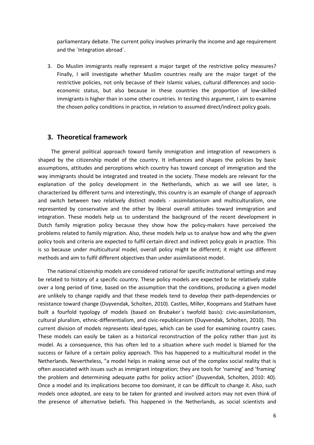parliamentary debate. The current policy involves primarily the income and age requirement and the ´Integration abroad´.

3. Do Muslim immigrants really represent a major target of the restrictive policy measures? Finally, I will investigate whether Muslim countries really are the major target of the restrictive policies, not only because of their Islamic values, cultural differences and socioeconomic status, but also because in these countries the proportion of low-skilled immigrants is higher than in some other countries. In testing this argument, I aim to examine the chosen policy conditions in practice, in relation to assumed direct/indirect policy goals.

### **3. Theoretical framework**

 The general political approach toward family immigration and integration of newcomers is shaped by the citizenship model of the country. It influences and shapes the policies by basic assumptions, attitudes and perceptions which country has toward concept of immigration and the way immigrants should be integrated and treated in the society. These models are relevant for the explanation of the policy development in the Netherlands, which as we will see later, is characterized by different turns and interestingly, this country is an example of change of approach and switch between two relatively distinct models - assimilationism and multiculturalism, one represented by conservative and the other by liberal overall attitudes toward immigration and integration. These models help us to understand the background of the recent development in Dutch family migration policy because they show how the policy-makers have perceived the problems related to family migration. Also, these models help us to analyse how and why the given policy tools and criteria are expected to fulfil certain direct and indirect policy goals in practice. This is so because under multicultural model, overall policy might be different; it might use different methods and aim to fulfil different objectives than under assimilationist model.

 The national citizenship models are considered rational for specific institutional settings and may be related to history of a specific country. These policy models are expected to be relatively stable over a long period of time, based on the assumption that the conditions, producing a given model are unlikely to change rapidly and that these models tend to develop their path-dependencies or resistance toward change (Duyvendak, Scholten, 2010). Castles, Miller, Koopmans and Statham have built a fourfold typology of models (based on Brubaker´s twofold basis): civic-assimilationism, cultural pluralism, ethnic-differentialism, and civic-republicanism (Duyvendak, Scholten, 2010). This current division of models represents ideal-types, which can be used for examining country cases. These models can easily be taken as a historical reconstruction of the policy rather than just its model. As a consequence, this has often led to a situation where such model is blamed for the success or failure of a certain policy approach. This has happened to a multicultural model in the Netherlands. Nevertheless, "a model helps in making sense out of the complex social reality that is often associated with issues such as immigrant integration; they are tools for 'naming' and 'framing' the problem and determining adequate paths for policy action" (Duyvendak, Scholten, 2010: 40). Once a model and its implications become too dominant, it can be difficult to change it. Also, such models once adopted, are easy to be taken for granted and involved actors may not even think of the presence of alternative beliefs. This happened in the Netherlands, as social scientists and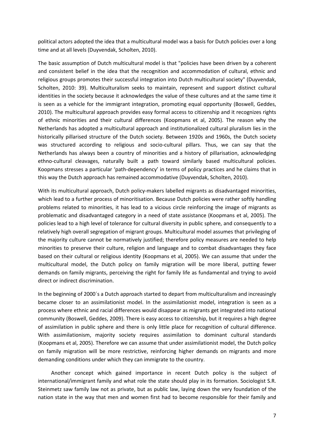political actors adopted the idea that a multicultural model was a basis for Dutch policies over a long time and at all levels (Duyvendak, Scholten, 2010).

The basic assumption of Dutch multicultural model is that "policies have been driven by a coherent and consistent belief in the idea that the recognition and accommodation of cultural, ethnic and religious groups promotes their successful integration into Dutch multicultural society" (Duyvendak, Scholten, 2010: 39). Multiculturalism seeks to maintain, represent and support distinct cultural identities in the society because it acknowledges the value of these cultures and at the same time it is seen as a vehicle for the immigrant integration, promoting equal opportunity (Boswell, Geddes, 2010). The multicultural approach provides easy formal access to citizenship and it recognizes rights of ethnic minorities and their cultural differences (Koopmans et al, 2005). The reason why the Netherlands has adopted a multicultural approach and institutionalized cultural pluralism lies in the historically pillarised structure of the Dutch society. Between 1920s and 1960s, the Dutch society was structured according to religious and socio-cultural pillars. Thus, we can say that the Netherlands has always been a country of minorities and a history of pillarisation, acknowledging ethno-cultural cleavages, naturally built a path toward similarly based multicultural policies. Koopmans stresses a particular 'path-dependency' in terms of policy practices and he claims that in this way the Dutch approach has remained accommodative (Duyvendak, Scholten, 2010).

With its multicultural approach, Dutch policy-makers labelled migrants as disadvantaged minorities, which lead to a further process of minoritisation. Because Dutch policies were rather softly handling problems related to minorities, it has lead to a vicious circle reinforcing the image of migrants as problematic and disadvantaged category in a need of state assistance (Koopmans et al, 2005). The policies lead to a high level of tolerance for cultural diversity in public sphere, and consequently to a relatively high overall segregation of migrant groups. Multicultural model assumes that privileging of the majority culture cannot be normatively justified; therefore policy measures are needed to help minorities to preserve their culture, religion and language and to combat disadvantages they face based on their cultural or religious identity (Koopmans et al, 2005). We can assume that under the multicultural model, the Dutch policy on family migration will be more liberal, putting fewer demands on family migrants, perceiving the right for family life as fundamental and trying to avoid direct or indirect discrimination.

In the beginning of 2000´s a Dutch approach started to depart from multiculturalism and increasingly became closer to an assimilationist model. In the assimilationist model, integration is seen as a process where ethnic and racial differences would disappear as migrants get integrated into national community (Boswell, Geddes, 2009). There is easy access to citizenship, but it requires a high degree of assimilation in public sphere and there is only little place for recognition of cultural difference. With assimilationism, majority society requires assimilation to dominant cultural standards (Koopmans et al, 2005). Therefore we can assume that under assimilationist model, the Dutch policy on family migration will be more restrictive, reinforcing higher demands on migrants and more demanding conditions under which they can immigrate to the country.

 Another concept which gained importance in recent Dutch policy is the subject of international/immigrant family and what role the state should play in its formation. Sociologist S.R. Steinmetz saw family law not as private, but as public law, laying down the very foundation of the nation state in the way that men and women first had to become responsible for their family and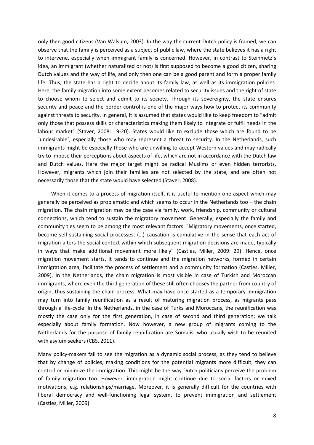only then good citizens (Van Walsum, 2003). In the way the current Dutch policy is framed, we can observe that the family is perceived as a subject of public law, where the state believes it has a right to intervene, especially when immigrant family is concerned. However, in contrast to Steinmetz´s idea, an immigrant (whether naturalized or not) is first supposed to become a good citizen, sharing Dutch values and the way of life, and only then one can be a good parent and form a proper family life. Thus, the state has a right to decide about its family law, as well as its immigration policies. Here, the family migration into some extent becomes related to security issues and the right of state to choose whom to select and admit to its society. Through its sovereignty, the state ensures security and peace and the border control is one of the major ways how to protect its community against threats to security. In general, it is assumed that states would like to keep freedom to "admit only those that possess skills or characteristics making them likely to integrate or fulfil needs in the labour market" (Staver, 2008: 19-20). States would like to exclude those which are found to be ´undesirable´, especially those who may represent a threat to security. In the Netherlands, such immigrants might be especially those who are unwilling to accept Western values and may radically try to impose their perceptions about aspects of life, which are not in accordance with the Dutch law and Dutch values. Here the major target might be radical Muslims or even hidden terrorists. However, migrants which join their families are not selected by the state, and are often not necessarily those that the state would have selected (Staver, 2008).

 When it comes to a process of migration itself, it is useful to mention one aspect which may generally be perceived as problematic and which seems to occur in the Netherlands too – the chain migration. The chain migration may be the case via family, work, friendship, community or cultural connections, which tend to sustain the migratory movement. Generally, especially the family and community ties seem to be among the most relevant factors. "Migratory movements, once started, become self-sustaining social processes; (…) causation is cumulative in the sense that each act of migration alters the social context within which subsequent migration decisions are made, typically in ways that make additional movement more likely" (Castles, Miller, 2009: 29). Hence, once migration movement starts, it tends to continue and the migration networks, formed in certain immigration area, facilitate the process of settlement and a community formation (Castles, Miller, 2009). In the Netherlands, the chain migration is most visible in case of Turkish and Moroccan immigrants, where even the third generation of these still often chooses the partner from country of origin, thus sustaining the chain process. What may have once started as a temporary immigration may turn into family reunification as a result of maturing migration process, as migrants pass through a life-cycle. In the Netherlands, in the case of Turks and Moroccans, the reunification was mostly the case only for the first generation, in case of second and third generation; we talk especially about family formation. Now however, a new group of migrants coming to the Netherlands for the purpose of family reunification are Somalis, who usually wish to be reunited with asylum seekers (CBS, 2011).

Many policy-makers fail to see the migration as a dynamic social process, as they tend to believe that by change of policies, making conditions for the potential migrants more difficult, they can control or minimize the immigration. This might be the way Dutch politicians perceive the problem of family migration too. However, immigration might continue due to social factors or mixed motivations, e.g. relationships/marriage. Moreover, it is generally difficult for the countries with liberal democracy and well-functioning legal system, to prevent immigration and settlement (Castles, Miller, 2009).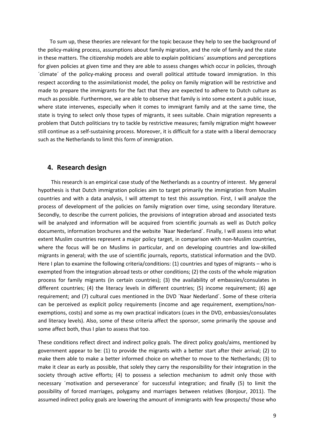To sum up, these theories are relevant for the topic because they help to see the background of the policy-making process, assumptions about family migration, and the role of family and the state in these matters. The citizenship models are able to explain politicians´ assumptions and perceptions for given policies at given time and they are able to assess changes which occur in policies, through ´climate´ of the policy-making process and overall political attitude toward immigration. In this respect according to the assimilationist model, the policy on family migration will be restrictive and made to prepare the immigrants for the fact that they are expected to adhere to Dutch culture as much as possible. Furthermore, we are able to observe that family is into some extent a public issue, where state intervenes, especially when it comes to immigrant family and at the same time, the state is trying to select only those types of migrants, it sees suitable. Chain migration represents a problem that Dutch politicians try to tackle by restrictive measures; family migration might however still continue as a self-sustaining process. Moreover, it is difficult for a state with a liberal democracy such as the Netherlands to limit this form of immigration.

### **4. Research design**

 This research is an empirical case study of the Netherlands as a country of interest. My general hypothesis is that Dutch immigration policies aim to target primarily the immigration from Muslim countries and with a data analysis, I will attempt to test this assumption. First, I will analyze the process of development of the policies on family migration over time, using secondary literature. Secondly, to describe the current policies, the provisions of integration abroad and associated tests will be analyzed and information will be acquired from scientific journals as well as Dutch policy documents, information brochures and the website ´Naar Nederland´. Finally, I will assess into what extent Muslim countries represent a major policy target, in comparison with non-Muslim countries, where the focus will be on Muslims in particular, and on developing countries and low-skilled migrants in general; with the use of scientific journals, reports, statistical information and the DVD. Here I plan to examine the following criteria/conditions: (1) countries and types of migrants – who is exempted from the integration abroad tests or other conditions; (2) the costs of the whole migration process for family migrants (in certain countries); (3) the availability of embassies/consulates in different countries; (4) the literacy levels in different countries; (5) income requirement; (6) age requirement; and (7) cultural cues mentioned in the DVD ´Naar Nederland´. Some of these criteria can be perceived as explicit policy requirements (income and age requirement, exemptions/nonexemptions, costs) and some as my own practical indicators (cues in the DVD, embassies/consulates and literacy levels). Also, some of these criteria affect the sponsor, some primarily the spouse and some affect both, thus I plan to assess that too.

These conditions reflect direct and indirect policy goals. The direct policy goals/aims, mentioned by government appear to be: (1) to provide the migrants with a better start after their arrival; (2) to make them able to make a better informed choice on whether to move to the Netherlands; (3) to make it clear as early as possible, that solely they carry the responsibility for their integration in the society through active efforts; (4) to possess a selection mechanism to admit only those with necessary ´motivation and perseverance´ for successful integration; and finally (5) to limit the possibility of forced marriages, polygamy and marriages between relatives (Bonjour, 2011). The assumed indirect policy goals are lowering the amount of immigrants with few prospects/ those who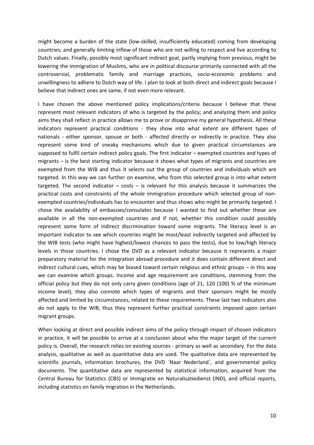might become a burden of the state (low-skilled, insufficiently educated) coming from developing countries; and generally limiting inflow of those who are not willing to respect and live according to Dutch values. Finally, possibly most significant indirect goal, partly implying from previous, might be lowering the immigration of Muslims, who are in political discourse primarily connected with all the controversial, problematic family and marriage practices, socio-economic problems and unwillingness to adhere to Dutch way of life. I plan to look at both direct and indirect goals because I believe that indirect ones are same, if not even more relevant.

I have chosen the above mentioned policy implications/criteria because I believe that these represent most relevant indicators of who is targeted by the policy; and analyzing them and policy aims they shall reflect in practice allows me to prove or disapprove my general hypothesis. All these indicators represent practical conditions - they show into what extent are different types of nationals - either sponsor, spouse or both - affected directly or indirectly in practice. They also represent some kind of sneaky mechanisms which due to given practical circumstances are supposed to fulfil certain indirect policy goals. The first indicator – exempted countries and types of migrants – is the best starting indicator because it shows what types of migrants and countries are exempted from the WIB and thus it selects out the group of countries and individuals which are targeted. In this way we can further on examine, who from this selected group is into what extent targeted. The second indicator  $-$  costs  $-$  is relevant for this analysis because it summarizes the practical costs and constraints of the whole immigration procedure which selected group of nonexempted countries/individuals has to encounter and thus shows who might be primarily targeted. I chose the availability of embassies/consulates because I wanted to find out whether these are available in all the non-exempted countries and if not, whether this condition could possibly represent some form of indirect discrimination toward some migrants. The literacy level is an important indicator to see which countries might be most/least indirectly targeted and affected by the WIB tests (who might have highest/lowest chances to pass the tests), due to low/high literacy levels in those countries. I chose the DVD as a relevant indicator because it represents a major preparatory material for the integration abroad procedure and it does contain different direct and indirect cultural cues, which may be biased toward certain religious and ethnic groups – in this way we can examine which groups. Income and age requirement are conditions, stemming from the official policy but they do not only carry given conditions (age of 21, 120 (100) % of the minimum income level); they also connote which types of migrants and their sponsors might be mostly affected and limited by circumstances, related to these requirements. These last two indicators also do not apply to the WIB, thus they represent further practical constraints imposed upon certain migrant groups.

When looking at direct and possible indirect aims of the policy through impact of chosen indicators in practice, it will be possible to arrive at a conclusion about who the major target of the current policy is. Overall, the research relies on existing sources - primary as well as secondary*.* For the data analysis, qualitative as well as quantitative data are used. The qualitative data are represented by scientific journals, information brochures, the DVD ´Naar Nederland´, and governmental policy documents. The quantitative data are represented by statistical information, acquired from the Central Bureau for Statistics (CBS) or Immigratie en Naturalisatiedienst (IND), and official reports, including statistics on family migration in the Netherlands.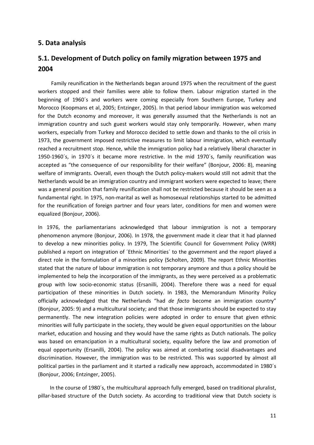## **5. Data analysis**

# **5.1. Development of Dutch policy on family migration between 1975 and 2004**

 Family reunification in the Netherlands began around 1975 when the recruitment of the guest workers stopped and their families were able to follow them. Labour migration started in the beginning of 1960´s and workers were coming especially from Southern Europe, Turkey and Morocco (Koopmans et al, 2005; Entzinger, 2005). In that period labour immigration was welcomed for the Dutch economy and moreover, it was generally assumed that the Netherlands is not an immigration country and such guest workers would stay only temporarily. However, when many workers, especially from Turkey and Morocco decided to settle down and thanks to the oil crisis in 1973, the government imposed restrictive measures to limit labour immigration, which eventually reached a recruitment stop. Hence, while the immigration policy had a relatively liberal character in 1950-1960´s, in 1970´s it became more restrictive. In the mid 1970´s, family reunification was accepted as "the consequence of our responsibility for their welfare" (Bonjour, 2006: 8), meaning welfare of immigrants. Overall, even though the Dutch policy-makers would still not admit that the Netherlands would be an immigration country and immigrant workers were expected to leave; there was a general position that family reunification shall not be restricted because it should be seen as a fundamental right. In 1975, non-marital as well as homosexual relationships started to be admitted for the reunification of foreign partner and four years later, conditions for men and women were equalized (Bonjour, 2006).

In 1976, the parliamentarians acknowledged that labour immigration is not a temporary phenomenon anymore (Bonjour, 2006). In 1978, the government made it clear that it had planned to develop a new minorities policy. In 1979, The Scientific Council for Government Policy (WRR) published a report on integration of ´Ethnic Minorities´ to the government and the report played a direct role in the formulation of a minorities policy (Scholten, 2009). The report Ethnic Minorities stated that the nature of labour immigration is not temporary anymore and thus a policy should be implemented to help the incorporation of the immigrants, as they were perceived as a problematic group with low socio-economic status (Ersanilli, 2004). Therefore there was a need for equal participation of these minorities in Dutch society. In 1983, the Memorandum Minority Policy officially acknowledged that the Netherlands "had *de facto* become an immigration country" (Bonjour, 2005: 9) and a multicultural society; and that those immigrants should be expected to stay permanently. The new integration policies were adopted in order to ensure that given ethnic minorities will fully participate in the society, they would be given equal opportunities on the labour market, education and housing and they would have the same rights as Dutch nationals. The policy was based on emancipation in a multicultural society, equality before the law and promotion of equal opportunity (Ersanilli, 2004). The policy was aimed at combating social disadvantages and discrimination. However, the immigration was to be restricted. This was supported by almost all political parties in the parliament and it started a radically new approach, accommodated in 1980´s (Bonjour, 2006; Entzinger, 2005).

 In the course of 1980´s, the multicultural approach fully emerged, based on traditional pluralist, pillar-based structure of the Dutch society. As according to traditional view that Dutch society is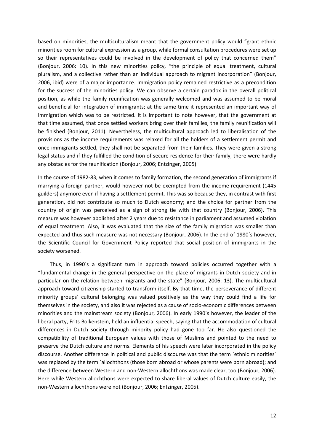based on minorities, the multiculturalism meant that the government policy would "grant ethnic minorities room for cultural expression as a group, while formal consultation procedures were set up so their representatives could be involved in the development of policy that concerned them" (Bonjour, 2006: 10). In this new minorities policy, "the principle of equal treatment, cultural pluralism, and a collective rather than an individual approach to migrant incorporation" (Bonjour, 2006, ibid) were of a major importance. Immigration policy remained restrictive as a precondition for the success of the minorities policy. We can observe a certain paradox in the overall political position, as while the family reunification was generally welcomed and was assumed to be moral and beneficial for integration of immigrants; at the same time it represented an important way of immigration which was to be restricted. It is important to note however, that the government at that time assumed, that once settled workers bring over their families, the family reunification will be finished (Bonjour, 2011). Nevertheless, the multicultural approach led to liberalisation of the provisions as the income requirements was relaxed for all the holders of a settlement permit and once immigrants settled, they shall not be separated from their families. They were given a strong legal status and if they fulfilled the condition of secure residence for their family, there were hardly any obstacles for the reunification (Bonjour, 2006; Entzinger, 2005).

In the course of 1982-83, when it comes to family formation, the second generation of immigrants if marrying a foreign partner, would however not be exempted from the income requirement (1445 guilders) anymore even if having a settlement permit. This was so because they, in contrast with first generation, did not contribute so much to Dutch economy; and the choice for partner from the country of origin was perceived as a sign of strong tie with that country (Bonjour, 2006). This measure was however abolished after 2 years due to resistance in parliament and assumed violation of equal treatment. Also, it was evaluated that the size of the family migration was smaller than expected and thus such measure was not necessary (Bonjour, 2006). In the end of 1980´s however, the Scientific Council for Government Policy reported that social position of immigrants in the society worsened.

 Thus, in 1990´s a significant turn in approach toward policies occurred together with a "fundamental change in the general perspective on the place of migrants in Dutch society and in particular on the relation between migrants and the state" (Bonjour, 2006: 13). The multicultural approach toward citizenship started to transform itself. By that time, the perseverance of different minority groups´ cultural belonging was valued positively as the way they could find a life for themselves in the society, and also it was rejected as a cause of socio-economic differences between minorities and the mainstream society (Bonjour, 2006). In early 1990´s however, the leader of the liberal party, Frits Bolkenstein, held an influential speech, saying that the accommodation of cultural differences in Dutch society through minority policy had gone too far. He also questioned the compatibility of traditional European values with those of Muslims and pointed to the need to preserve the Dutch culture and norms. Elements of his speech were later incorporated in the policy discourse. Another difference in political and public discourse was that the term ´ethnic minorities´ was replaced by the term ´allochthons (those born abroad or whose parents were born abroad); and the difference between Western and non-Western allochthons was made clear, too (Bonjour, 2006). Here while Western allochthons were expected to share liberal values of Dutch culture easily, the non-Western allochthons were not (Bonjour, 2006; Entzinger, 2005).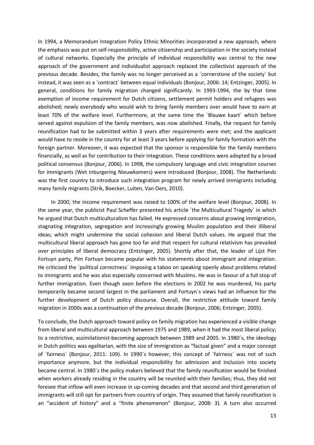In 1994, a Memorandum Integration Policy Ethnic Minorities incorporated a new approach, where the emphasis was put on self-responsibility, active citizenship and participation in the society instead of cultural networks. Especially the principle of individual responsibility was central to the new approach of the government and individualist approach replaced the collectivist approach of the previous decade. Besides, the family was no longer perceived as a ´cornerstone of the society´ but instead, it was seen as a ´contract´ between equal individuals (Bonjour, 2006: 14; Entzinger, 2005). In general, conditions for family migration changed significantly. In 1993-1994, the by that time exemption of income requirement for Dutch citizens, settlement permit holders and refugees was abolished; newly everybody who would wish to bring family members over would have to earn at least 70% of the welfare level. Furthermore, at the same time the ´Blauwe kaart´ which before served against expulsion of the family members, was now abolished. Finally, the request for family reunification had to be submitted within 3 years after requirements were met; and the applicant would have to reside in the country for at least 3 years before applying for family formation with the foreign partner. Moreover, it was expected that the sponsor is responsible for the family members financially, as well as for contribution to their integration. These conditions were adopted by a broad political consensus (Bonjour, 2006). In 1998, the compulsory language and civic integration courses for immigrants (Wet Inburgering Nieuwkomers) were introduced (Bonjour, 2008). The Netherlands was the first country to introduce such integration program for newly arrived immigrants including many family migrants (Strik, Boecker, Luiten, Van Oers, 2010).

 In 2000, the income requirement was raised to 100% of the welfare level (Bonjour, 2008). In the same year, the publicist Paul Scheffer presented his article ´the Multicultural Tragedy´ in which he argued that Dutch multiculturalism has failed. He expressed concerns about growing immigration, stagnating integration, segregation and increasingly growing Muslim population and their illiberal ideas; which might undermine the social cohesion and liberal Dutch values. He argued that the multicultural liberal approach has gone too far and that respect for cultural relativism has prevailed over principles of liberal democracy (Entzinger, 2005). Shortly after that, the leader of Lijst Pim Fortuyn party, Pim Fortuyn became popular with his statements about immigrant and integration. He criticized the ´political correctness´ imposing a taboo on speaking openly about problems related to immigrants and he was also especially concerned with Muslims. He was in favour of a full stop of further immigration. Even though soon before the elections in 2002 he was murdered, his party temporarily became second largest in the parliament and Fortuyn´s views had an influence for the further development of Dutch policy discourse. Overall, the restrictive attitude toward family migration in 2000s was a continuation of the previous decade (Bonjour, 2006; Entzinger, 2005).

To conclude, the Dutch approach toward policy on family migration has experienced a visible change from liberal and multicultural approach between 1975 and 1989, when it had the most liberal policy; to a restrictive, assimilationist-becoming approach between 1989 and 2005. In 1980´s, the ideology in Dutch politics was egalitarian, with the size of immigration as "factual given" and a major concept of ´fairness´ (Bonjour, 2011: 109). In 1990´s however, this concept of ´fairness´ was not of such importance anymore, but the individual responsibility for admission and inclusion into society became central. In 1980´s the policy makers believed that the family reunification would be finished when workers already residing in the country will be reunited with their families; thus, they did not foresee that inflow will even increase in up-coming decades and that second and third generation of immigrants will still opt for partners from country of origin. They assumed that family reunification is an "accident of history" and a "finite phenomenon" (Bonjour, 2008: 3). A turn also occurred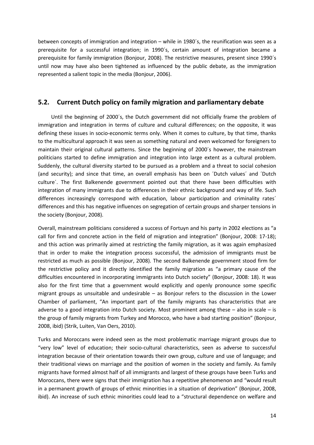between concepts of immigration and integration – while in 1980´s, the reunification was seen as a prerequisite for a successful integration; in 1990´s, certain amount of integration became a prerequisite for family immigration (Bonjour, 2008). The restrictive measures, present since 1990´s until now may have also been tightened as influenced by the public debate, as the immigration represented a salient topic in the media (Bonjour, 2006).

# **5.2. Current Dutch policy on family migration and parliamentary debate**

 Until the beginning of 2000´s, the Dutch government did not officially frame the problem of immigration and integration in terms of culture and cultural differences; on the opposite, it was defining these issues in socio-economic terms only. When it comes to culture, by that time, thanks to the multicultural approach it was seen as something natural and even welcomed for foreigners to maintain their original cultural patterns. Since the beginning of 2000´s however, the mainstream politicians started to define immigration and integration into large extent as a cultural problem. Suddenly, the cultural diversity started to be pursued as a problem and a threat to social cohesion (and security); and since that time, an overall emphasis has been on ´Dutch values´ and ´Dutch culture´. The first Balkenende government pointed out that there have been difficulties with integration of many immigrants due to differences in their ethnic background and way of life. Such differences increasingly correspond with education, labour participation and criminality rates´ differences and this has negative influences on segregation of certain groups and sharper tensions in the society (Bonjour, 2008).

Overall, mainstream politicians considered a success of Fortuyn and his party in 2002 elections as "a call for firm and concrete action in the field of migration and integration" (Bonjour, 2008: 17-18); and this action was primarily aimed at restricting the family migration, as it was again emphasized that in order to make the integration process successful, the admission of immigrants must be restricted as much as possible (Bonjour, 2008). The second Balkenende government stood firm for the restrictive policy and it directly identified the family migration as "a primary cause of the difficulties encountered in incorporating immigrants into Dutch society" (Bonjour, 2008: 18). It was also for the first time that a government would explicitly and openly pronounce some specific migrant groups as unsuitable and undesirable – as Bonjour refers to the discussion in the Lower Chamber of parliament, "An important part of the family migrants has characteristics that are adverse to a good integration into Dutch society. Most prominent among these  $-$  also in scale  $-$  is the group of family migrants from Turkey and Morocco, who have a bad starting position" (Bonjour, 2008, ibid) (Strik, Luiten, Van Oers, 2010).

Turks and Moroccans were indeed seen as the most problematic marriage migrant groups due to "very low" level of education; their socio-cultural characteristics, seen as adverse to successful integration because of their orientation towards their own group, culture and use of language; and their traditional views on marriage and the position of women in the society and family. As family migrants have formed almost half of all immigrants and largest of these groups have been Turks and Moroccans, there were signs that their immigration has a repetitive phenomenon and "would result in a permanent growth of groups of ethnic minorities in a situation of deprivation" (Bonjour, 2008, ibid). An increase of such ethnic minorities could lead to a "structural dependence on welfare and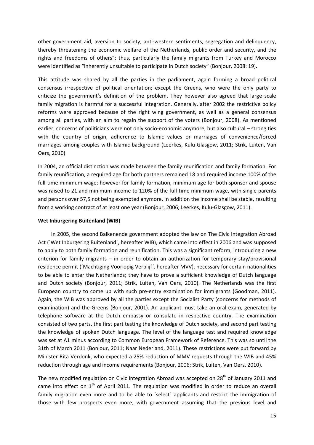other government aid, aversion to society, anti-western sentiments, segregation and delinquency, thereby threatening the economic welfare of the Netherlands, public order and security, and the rights and freedoms of others"; thus, particularly the family migrants from Turkey and Morocco were identified as "inherently unsuitable to participate in Dutch society" (Bonjour, 2008: 19).

This attitude was shared by all the parties in the parliament, again forming a broad political consensus irrespective of political orientation; except the Greens, who were the only party to criticize the government's definition of the problem. They however also agreed that large scale family migration is harmful for a successful integration. Generally, after 2002 the restrictive policy reforms were approved because of the right wing government, as well as a general consensus among all parties, with an aim to regain the support of the voters (Bonjour, 2008). As mentioned earlier, concerns of politicians were not only socio-economic anymore, but also cultural – strong ties with the country of origin, adherence to Islamic values or marriages of convenience/forced marriages among couples with Islamic background (Leerkes, Kulu-Glasgow, 2011; Strik, Luiten, Van Oers, 2010).

In 2004, an official distinction was made between the family reunification and family formation. For family reunification, a required age for both partners remained 18 and required income 100% of the full-time minimum wage; however for family formation, minimum age for both sponsor and spouse was raised to 21 and minimum income to 120% of the full-time minimum wage, with single parents and persons over 57,5 not being exempted anymore. In addition the income shall be stable, resulting from a working contract of at least one year (Bonjour, 2006; Leerkes, Kulu-Glasgow, 2011).

#### **Wet Inburgering Buitenland (WIB)**

 In 2005, the second Balkenende government adopted the law on The Civic Integration Abroad Act (´Wet Inburgering Buitenland´, hereafter WIB), which came into effect in 2006 and was supposed to apply to both family formation and reunification. This was a significant reform, introducing a new criterion for family migrants – in order to obtain an authorization for temporary stay/provisional residence permit (´Machtiging Voorlopig Verblijf*´,* hereafter MVV), necessary for certain nationalities to be able to enter the Netherlands; they have to prove a sufficient knowledge of Dutch language and Dutch society (Bonjour, 2011; Strik, Luiten, Van Oers, 2010). The Netherlands was the first European country to come up with such pre-entry examination for immigrants (Goodman, 2011). Again, the WIB was approved by all the parties except the Socialist Party (concerns for methods of examination) and the Greens (Bonjour, 2001). An applicant must take an oral exam, generated by telephone software at the Dutch embassy or consulate in respective country. The examination consisted of two parts, the first part testing the knowledge of Dutch society, and second part testing the knowledge of spoken Dutch language. The level of the language test and required knowledge was set at A1 minus according to Common European Framework of Reference. This was so until the 31th of March 2011 (Bonjour, 2011; Naar Nederland, 2011). These restrictions were put forward by Minister Rita Verdonk, who expected a 25% reduction of MMV requests through the WIB and 45% reduction through age and income requirements (Bonjour, 2006; Strik, Luiten, Van Oers, 2010).

The new modified regulation on Civic Integration Abroad was accepted on 28<sup>th</sup> of January 2011 and came into effect on  $1<sup>th</sup>$  of April 2011. The regulation was modified in order to reduce an overall family migration even more and to be able to ´select´ applicants and restrict the immigration of those with few prospects even more, with government assuming that the previous level and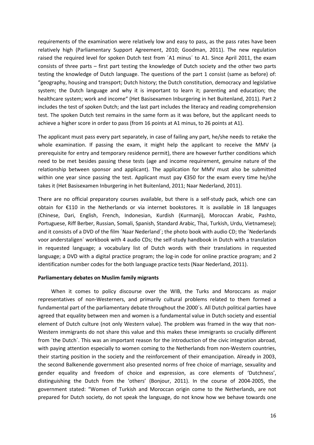requirements of the examination were relatively low and easy to pass, as the pass rates have been relatively high (Parliamentary Support Agreement, 2010; Goodman, 2011). The new regulation raised the required level for spoken Dutch test from 'A1 minus' to A1. Since April 2011, the exam consists of three parts – first part testing the knowledge of Dutch society and the other two parts testing the knowledge of Dutch language. The questions of the part 1 consist (same as before) of: "geography, housing and transport; Dutch history; the Dutch constitution, democracy and legislative system; the Dutch language and why it is important to learn it; parenting and education; the healthcare system; work and income" (Het Basisexamen Inburgering in het Buitenland, 2011). Part 2 includes the test of spoken Dutch; and the last part includes the literacy and reading comprehension test. The spoken Dutch test remains in the same form as it was before, but the applicant needs to achieve a higher score in order to pass (from 16 points at A1 minus, to 26 points at A1).

The applicant must pass every part separately, in case of failing any part, he/she needs to retake the whole examination. If passing the exam, it might help the applicant to receive the MMV (a prerequisite for entry and temporary residence permit), there are however further conditions which need to be met besides passing these tests (age and income requirement, genuine nature of the relationship between sponsor and applicant). The application for MMV must also be submitted within one year since passing the test. Applicant must pay €350 for the exam every time he/she takes it (Het Basisexamen Inburgering in het Buitenland, 2011; Naar Nederland, 2011).

There are no official preparatory courses available, but there is a self-study pack, which one can obtain for €110 in the Netherlands or via internet bookstores. It is available in 18 languages (Chinese, Dari, English, French, Indonesian, Kurdish (Kurmanji), Moroccan Arabic, Pashto, Portuguese, Riff Berber, Russian, Somali, Spanish, Standard Arabic, Thai, Turkish, Urdu, Vietnamese); and it consists of a DVD of the film 'Naar Nederland'; the photo book with audio CD; the 'Nederlands voor anderstaligen´ workbook with 4 audio CDs; the self-study handbook in Dutch with a translation in requested language; a vocabulary list of Dutch words with their translations in requested language; a DVD with a digital practice program; the log-in code for online practice program; and 2 identification number codes for the both language practice tests (Naar Nederland, 2011).

### **Parliamentary debates on Muslim family migrants**

 When it comes to policy discourse over the WIB, the Turks and Moroccans as major representatives of non-Westerners, and primarily cultural problems related to them formed a fundamental part of the parliamentary debate throughout the 2000´s. All Dutch political parties have agreed that equality between men and women is a fundamental value in Dutch society and essential element of Dutch culture (not only Western value). The problem was framed in the way that non-Western immigrants do not share this value and this makes these immigrants so crucially different from ´the Dutch´. This was an important reason for the introduction of the civic integration abroad, with paying attention especially to women coming to the Netherlands from non-Western countries, their starting position in the society and the reinforcement of their emancipation. Already in 2003, the second Balkenende government also presented norms of free choice of marriage, sexuality and gender equality and freedom of choice and expression, as core elements of 'Dutchness', distinguishing the Dutch from the 'others' (Bonjour, 2011). In the course of 2004-2005, the government stated: "Women of Turkish and Moroccan origin come to the Netherlands, are not prepared for Dutch society, do not speak the language, do not know how we behave towards one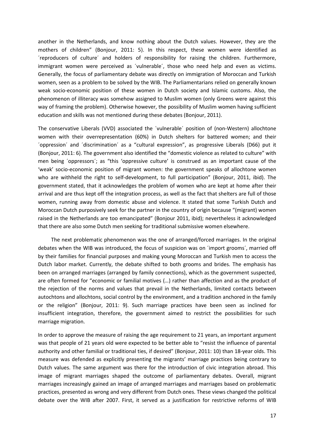another in the Netherlands, and know nothing about the Dutch values. However, they are the mothers of children" (Bonjour, 2011: 5). In this respect, these women were identified as ´reproducers of culture´ and holders of responsibility for raising the children. Furthermore, immigrant women were perceived as ´vulnerable´, those who need help and even as victims. Generally, the focus of parliamentary debate was directly on immigration of Moroccan and Turkish women, seen as a problem to be solved by the WIB. The Parliamentarians relied on generally known weak socio-economic position of these women in Dutch society and Islamic customs. Also, the phenomenon of illiteracy was somehow assigned to Muslim women (only Greens were against this way of framing the problem). Otherwise however, the possibility of Muslim women having sufficient education and skills was not mentioned during these debates (Bonjour, 2011).

The conservative Liberals (VVD) associated the ´vulnerable´ position of (non-Western) allochtone women with their overrepresentation (60%) in Dutch shelters for battered women; and their ´oppression´ and ´discrimination´ as a "cultural expression", as progressive Liberals (D66) put it (Bonjour, 2011: 6). The government also identified the "domestic violence as related to culture" with men being ´oppressors´; as "this 'oppressive culture' is construed as an important cause of the 'weak' socio-economic position of migrant women: the government speaks of allochtone women who are withheld the right to self-development, to full participation" (Bonjour, 2011, ibid). The government stated, that it acknowledges the problem of women who are kept at home after their arrival and are thus kept off the integration process, as well as the fact that shelters are full of those women, running away from domestic abuse and violence. It stated that some Turkish Dutch and Moroccan Dutch purposively seek for the partner in the country of origin because "(migrant) women raised in the Netherlands are too emancipated" (Bonjour 2011, ibid); nevertheless it acknowledged that there are also some Dutch men seeking for traditional submissive women elsewhere.

 The next problematic phenomenon was the one of arranged/forced marriages. In the original debates when the WIB was introduced, the focus of suspicion was on ´import grooms´, married off by their families for financial purposes and making young Moroccan and Turkish men to access the Dutch labor market. Currently, the debate shifted to both grooms and brides. The emphasis has been on arranged marriages (arranged by family connections), which as the government suspected, are often formed for "economic or familial motives (…) rather than affection and as the product of the rejection of the norms and values that prevail in the Netherlands, limited contacts between autochtons and allochtons, social control by the environment, and a tradition anchored in the family or the religion" (Bonjour, 2011: 9). Such marriage practices have been seen as inclined for insufficient integration, therefore, the government aimed to restrict the possibilities for such marriage migration.

In order to approve the measure of raising the age requirement to 21 years, an important argument was that people of 21 years old were expected to be better able to "resist the influence of parental authority and other familial or traditional ties, if desired" (Bonjour, 2011: 10) than 18-year olds. This measure was defended as explicitly presenting the migrants' marriage practices being contrary to Dutch values. The same argument was there for the introduction of civic integration abroad. This image of migrant marriages shaped the outcome of parliamentary debates. Overall, migrant marriages increasingly gained an image of arranged marriages and marriages based on problematic practices, presented as wrong and very different from Dutch ones. These views changed the political debate over the WIB after 2007. First, it served as a justification for restrictive reforms of WIB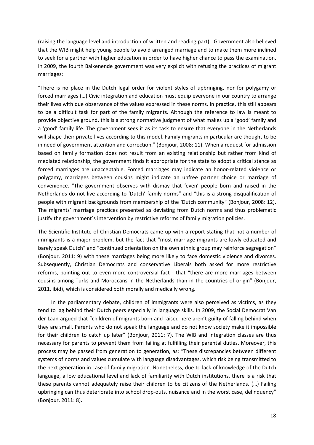(raising the language level and introduction of written and reading part). Government also believed that the WIB might help young people to avoid arranged marriage and to make them more inclined to seek for a partner with higher education in order to have higher chance to pass the examination. In 2009, the fourth Balkenende government was very explicit with refusing the practices of migrant marriages:

"There is no place in the Dutch legal order for violent styles of upbringing, nor for polygamy or forced marriages (…) Civic integration and education must equip everyone in our country to arrange their lives with due observance of the values expressed in these norms. In practice, this still appears to be a difficult task for part of the family migrants. Although the reference to law is meant to provide objective ground, this is a strong normative judgment of what makes up a 'good' family and a 'good' family life. The government sees it as its task to ensure that everyone in the Netherlands will shape their private lives according to this model. Family migrants in particular are thought to be in need of government attention and correction." (Bonjour, 2008: 11). When a request for admission based on family formation does not result from an existing relationship but rather from kind of mediated relationship, the government finds it appropriate for the state to adopt a critical stance as forced marriages are unacceptable. Forced marriages may indicate an honor-related violence or polygamy, marriages between cousins might indicate an unfree partner choice or marriage of convenience. "The government observes with dismay that 'even' people born and raised in the Netherlands do not live according to 'Dutch' family norms" and "this is a strong disqualification of people with migrant backgrounds from membership of the 'Dutch community" (Bonjour, 2008: 12). The migrants' marriage practices presented as deviating from Dutch norms and thus problematic justify the government´s intervention by restrictive reforms of family migration policies.

The Scientific Institute of Christian Democrats came up with a report stating that not a number of immigrants is a major problem, but the fact that "most marriage migrants are lowly educated and barely speak Dutch" and "continued orientation on the own ethnic group may reinforce segregation" (Bonjour, 2011: 9) with these marriages being more likely to face domestic violence and divorces. Subsequently, Christian Democrats and conservative Liberals both asked for more restrictive reforms, pointing out to even more controversial fact - that "there are more marriages between cousins among Turks and Moroccans in the Netherlands than in the countries of origin" (Bonjour, 2011, ibid), which is considered both morally and medically wrong.

 In the parliamentary debate, children of immigrants were also perceived as victims, as they tend to lag behind their Dutch peers especially in language skills. In 2009, the Social Democrat Van der Laan argued that "children of migrants born and raised here aren't guilty of falling behind when they are small. Parents who do not speak the language and do not know society make it impossible for their children to catch up later" (Bonjour, 2011: 7). The WIB and integration classes are thus necessary for parents to prevent them from failing at fulfilling their parental duties. Moreover, this process may be passed from generation to generation, as: "These discrepancies between different systems of norms and values cumulate with language disadvantages, which risk being transmitted to the next generation in case of family migration. Nonetheless, due to lack of knowledge of the Dutch language, a low educational level and lack of familiarity with Dutch institutions, there is a risk that these parents cannot adequately raise their children to be citizens of the Netherlands. (…) Failing upbringing can thus deteriorate into school drop-outs, nuisance and in the worst case, delinquency" (Bonjour, 2011: 8).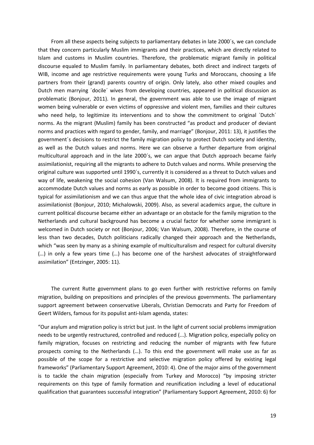From all these aspects being subjects to parliamentary debates in late 2000's, we can conclude that they concern particularly Muslim immigrants and their practices, which are directly related to Islam and customs in Muslim countries. Therefore, the problematic migrant family in political discourse equaled to Muslim family. In parliamentary debates, both direct and indirect targets of WIB, income and age restrictive requirements were young Turks and Moroccans, choosing a life partners from their (grand) parents country of origin. Only lately, also other mixed couples and Dutch men marrying ´docile´ wives from developing countries, appeared in political discussion as problematic (Bonjour, 2011). In general, the government was able to use the image of migrant women being vulnerable or even victims of oppressive and violent men, families and their cultures who need help, to legitimize its interventions and to show the commitment to original 'Dutch' norms. As the migrant (Muslim) family has been constructed "as product and producer of deviant norms and practices with regard to gender, family, and marriage" (Bonjour, 2011: 13), it justifies the government´s decisions to restrict the family migration policy to protect Dutch society and identity, as well as the Dutch values and norms. Here we can observe a further departure from original multicultural approach and in the late 2000´s, we can argue that Dutch approach became fairly assimilationist, requiring all the migrants to adhere to Dutch values and norms. While preserving the original culture was supported until 1990´s, currently it is considered as a threat to Dutch values and way of life, weakening the social cohesion (Van Walsum, 2008). It is required from immigrants to accommodate Dutch values and norms as early as possible in order to become good citizens. This is typical for assimilationism and we can thus argue that the whole idea of civic integration abroad is assimilationist (Bonjour, 2010; Michalowski, 2009). Also, as several academics argue, the culture in current political discourse became either an advantage or an obstacle for the family migration to the Netherlands and cultural background has become a crucial factor for whether some immigrant is welcomed in Dutch society or not (Bonjour, 2006; Van Walsum, 2008). Therefore, in the course of less than two decades, Dutch politicians radically changed their approach and the Netherlands, which "was seen by many as a shining example of multiculturalism and respect for cultural diversity (…) in only a few years time (…) has become one of the harshest advocates of straightforward assimilation" (Entzinger, 2005: 11).

 The current Rutte government plans to go even further with restrictive reforms on family migration, building on prepositions and principles of the previous governments. The parliamentary support agreement between conservative Liberals, Christian Democrats and Party for Freedom of Geert Wilders, famous for its populist anti-Islam agenda, states:

"Our asylum and migration policy is strict but just. In the light of current social problems immigration needs to be urgently restructured, controlled and reduced (...). Migration policy, especially policy on family migration, focuses on restricting and reducing the number of migrants with few future prospects coming to the Netherlands (…). To this end the government will make use as far as possible of the scope for a restrictive and selective migration policy offered by existing legal frameworks" (Parliamentary Support Agreement, 2010: 4). One of the major aims of the government is to tackle the chain migration (especially from Turkey and Morocco) "by imposing stricter requirements on this type of family formation and reunification including a level of educational qualification that guarantees successful integration" (Parliamentary Support Agreement, 2010: 6) for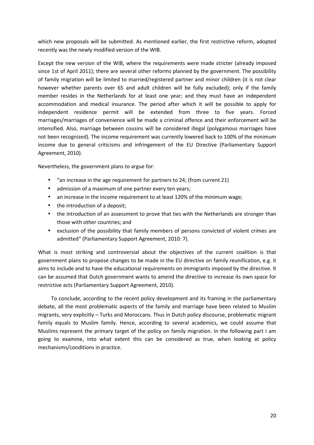which new proposals will be submitted. As mentioned earlier, the first restrictive reform, adopted recently was the newly modified version of the WIB.

Except the new version of the WIB, where the requirements were made stricter (already imposed since 1st of April 2011); there are several other reforms planned by the government. The possibility of family migration will be limited to married/registered partner and minor children (it is not clear however whether parents over 65 and adult children will be fully excluded); only if the family member resides in the Netherlands for at least one year; and they must have an independent accommodation and medical insurance. The period after which it will be possible to apply for independent residence permit will be extended from three to five years. Forced marriages/marriages of convenience will be made a criminal offence and their enforcement will be intensified. Also, marriage between cousins will be considered illegal (polygamous marriages have not been recognized). The income requirement was currently lowered back to 100% of the minimum income due to general criticisms and infringement of the EU Directive (Parliamentary Support Agreement, 2010).

Nevertheless, the government plans to argue for:

- "an increase in the age requirement for partners to 24; (from current 21)
- admission of a maximum of one partner every ten years;
- an increase in the income requirement to at least 120% of the minimum wage;
- the introduction of a deposit;
- the introduction of an assessment to prove that ties with the Netherlands are stronger than those with other countries; and
- exclusion of the possibility that family members of persons convicted of violent crimes are admitted" (Parliamentary Support Agreement, 2010: 7).

What is most striking and controversial about the objectives of the current coalition is that government plans to propose changes to be made in the EU directive on family reunification, e.g. it aims to include and to have the educational requirements on immigrants imposed by the directive. It can be assumed that Dutch government wants to amend the directive to increase its own space for restrictive acts (Parliamentary Support Agreement, 2010).

 To conclude, according to the recent policy development and its framing in the parliamentary debate, all the most problematic aspects of the family and marriage have been related to Muslim migrants, very explicitly – Turks and Moroccans. Thus in Dutch policy discourse, problematic migrant family equals to Muslim family. Hence, according to several academics, we could assume that Muslims represent the primary target of the policy on family migration. In the following part I am going to examine, into what extent this can be considered as true, when looking at policy mechanisms/conditions in practice.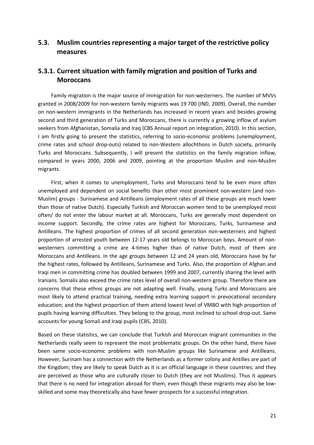# **5.3. Muslim countries representing a major target of the restrictive policy measures**

# **5.3.1. Current situation with family migration and position of Turks and Moroccans**

 Family migration is the major source of immigration for non-westerners. The number of MVVs granted in 2008/2009 for non-western family migrants was 19 700 (IND, 2009). Overall, the number on non-western immigrants in the Netherlands has increased in recent years and besides growing second and third generation of Turks and Moroccans, there is currently a growing inflow of asylum seekers from Afghanistan, Somalia and Iraq (CBS Annual report on integration, 2010). In this section, I am firstly going to present the statistics, referring to socio-economic problems (unemployment, crime rates and school drop-outs) related to non-Western allochthons in Dutch society, primarily Turks and Moroccans. Subsequently, I will present the statistics on the family migration inflow, compared in years 2000, 2006 and 2009, pointing at the proportion Muslim and non-Muslim migrants.

 First, when it comes to unemployment, Turks and Moroccans tend to be even more often unemployed and dependent on social benefits than other most prominent non-western (and non-Muslim) groups - Surinamese and Antilleans (employment rates of all these groups are much lower than those of native Dutch). Especially Turkish and Moroccan women tend to be unemployed most often/ do not enter the labour market at all. Moroccans, Turks are generally most dependent on income support. Secondly, the crime rates are highest for Moroccans, Turks, Surinamese and Antilleans. The highest proportion of crimes of all second generation non-westerners and highest proportion of arrested youth between 12-17 years old belongs to Moroccan boys. Amount of nonwesterners committing a crime are 4-times higher than of native Dutch, most of them are Moroccans and Antilleans. In the age groups between 12 and 24 years old, Moroccans have by far the highest rates, followed by Antilleans, Surinamese and Turks. Also, the proportion of Afghan and Iraqi men in committing crime has doubled between 1999 and 2007, currently sharing the level with Iranians. Somalis also exceed the crime rates level of overall non-western group. Therefore there are concerns that these ethnic groups are not adapting well. Finally, young Turks and Moroccans are most likely to attend practical training, needing extra learning support in prevocational secondary education; and the highest proportion of them attend lowest level of VMBO with high proportion of pupils having learning difficulties. They belong to the group, most inclined to school drop-out. Same accounts for young Somali and Iraqi pupils (CBS, 2010).

Based on these statistics, we can conclude that Turkish and Moroccan migrant communities in the Netherlands really seem to represent the most problematic groups. On the other hand, there have been same socio-economic problems with non-Muslim groups like Surinamese and Antilleans. However, Surinam has a connection with the Netherlands as a former colony and Antilles are part of the Kingdom; they are likely to speak Dutch as it is an official language in these countries; and they are perceived as those who are culturally closer to Dutch (they are not Muslims). Thus it appears that there is no need for integration abroad for them, even though these migrants may also be lowskilled and some may theoretically also have fewer prospects for a successful integration.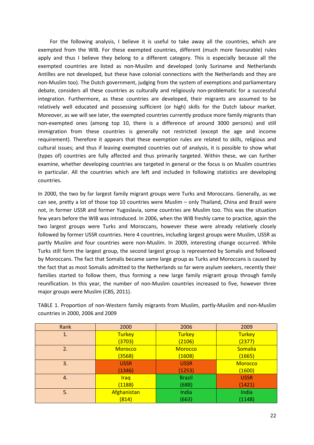For the following analysis, I believe it is useful to take away all the countries, which are exempted from the WIB. For these exempted countries, different (much more favourable) rules apply and thus I believe they belong to a different category. This is especially because all the exempted countries are listed as non-Muslim and developed (only Suriname and Netherlands Antilles are not developed, but these have colonial connections with the Netherlands and they are non-Muslim too). The Dutch government, judging from the system of exemptions and parliamentary debate, considers all these countries as culturally and religiously non-problematic for a successful integration. Furthermore, as these countries are developed, their migrants are assumed to be relatively well educated and possessing sufficient (or high) skills for the Dutch labour market. Moreover, as we will see later, the exempted countries currently produce more family migrants than non-exempted ones (among top 10, there is a difference of around 3000 persons) and still immigration from these countries is generally not restricted (except the age and income requirement). Therefore it appears that these exemption rules are related to skills, religious and cultural issues; and thus if leaving exempted countries out of analysis, it is possible to show what (types of) countries are fully affected and thus primarily targeted. Within these, we can further examine, whether developing countries are targeted in general or the focus is on Muslim countries in particular. All the countries which are left and included in following statistics are developing countries.

In 2000, the two by far largest family migrant groups were Turks and Moroccans. Generally, as we can see, pretty a lot of those top 10 countries were Muslim – only Thailand, China and Brazil were not, in former USSR and former Yugoslavia, some countries are Muslim too. This was the situation few years before the WIB was introduced. In 2006, when the WIB freshly came to practice, again the two largest groups were Turks and Moroccans, however these were already relatively closely followed by former USSR countries. Here 4 countries, including largest groups were Muslim, USSR as partly Muslim and four countries were non-Muslim. In 2009, interesting change occurred. While Turks still form the largest group, the second largest group is represented by Somalis and followed by Moroccans. The fact that Somalis became same large group as Turks and Moroccans is caused by the fact that as most Somalis admitted to the Netherlands so far were asylum seekers, recently their families started to follow them, thus forming a new large family migrant group through family reunification. In this year, the number of non-Muslim countries increased to five, however three major groups were Muslim (CBS, 2011).

TABLE 1. Proportion of non-Western family migrants from Muslim, partly-Muslim and non-Muslim countries in 2000, 2006 and 2009

| Rank | 2000           | 2006           | 2009           |
|------|----------------|----------------|----------------|
| 1.   | <b>Turkey</b>  | <b>Turkey</b>  | <b>Turkey</b>  |
|      | (3703)         | (2106)         | (2377)         |
| 2.   | <b>Morocco</b> | <b>Morocco</b> | Somalia        |
|      | (3568)         | (1608)         | (1665)         |
| 3.   | <b>USSR</b>    | <b>USSR</b>    | <b>Morocco</b> |
|      | (1346)         | (1253)         | (1600)         |
| 4.   | <b>Iraq</b>    | <b>Brazil</b>  | <b>USSR</b>    |
|      | (1188)         | (688)          | (1421)         |
| 5.   | Afghanistan    | India          | India          |
|      | (814)          | (663)          | (1148)         |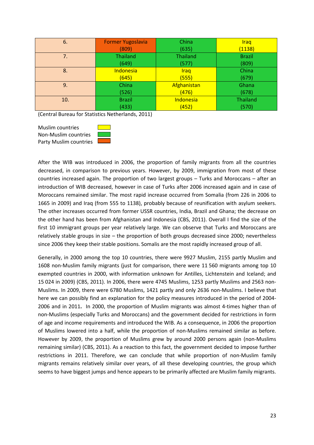| 6.  | <b>Former Yugoslavia</b> | China           | <b>Iraq</b>   |
|-----|--------------------------|-----------------|---------------|
|     | (809)                    | (635)           | (1138)        |
| 7.  | <b>Thailand</b>          | <b>Thailand</b> | <b>Brazil</b> |
|     | (649)                    | (577)           | (809)         |
| 8.  | <b>Indonesia</b>         | Iraq            | China         |
|     | (645)                    | (555)           | (679)         |
| 9.  | China                    | Afghanistan     | Ghana         |
|     | (526)                    | (476)           | (678)         |
| 10. | <b>Brazil</b>            | Indonesia       | Thailand      |
|     | (433)                    | (452)           | (570)         |

(Central Bureau for Statistics Netherlands, 2011)

Muslim countries Non-Muslim countries Party Muslim countries



After the WIB was introduced in 2006, the proportion of family migrants from all the countries decreased, in comparison to previous years. However, by 2009, immigration from most of these countries increased again. The proportion of two largest groups – Turks and Moroccans – after an introduction of WIB decreased, however in case of Turks after 2006 increased again and in case of Moroccans remained similar. The most rapid increase occurred from Somalia (from 226 in 2006 to 1665 in 2009) and Iraq (from 555 to 1138), probably because of reunification with asylum seekers. The other increases occurred from former USSR countries, India, Brazil and Ghana; the decrease on the other hand has been from Afghanistan and Indonesia (CBS, 2011). Overall I find the size of the first 10 immigrant groups per year relatively large. We can observe that Turks and Moroccans are relatively stable groups in size – the proportion of both groups decreased since 2000; nevertheless since 2006 they keep their stable positions. Somalis are the most rapidly increased group of all.

Generally, in 2000 among the top 10 countries, there were 9927 Muslim, 2155 partly Muslim and 1608 non-Muslim family migrants (just for comparison, there were 11 560 migrants among top 10 exempted countries in 2000, with information unknown for Antilles, Lichtenstein and Iceland; and 15 024 in 2009) (CBS, 2011). In 2006, there were 4745 Muslims, 1253 partly Muslims and 2563 non-Muslims. In 2009, there were 6780 Muslims, 1421 partly and only 2636 non-Muslims. I believe that here we can possibly find an explanation for the policy measures introduced in the period of 2004- 2006 and in 2011**.** In 2000, the proportion of Muslim migrants was almost 4-times higher than of non-Muslims (especially Turks and Moroccans) and the government decided for restrictions in form of age and income requirements and introduced the WIB. As a consequence, in 2006 the proportion of Muslims lowered into a half, while the proportion of non-Muslims remained similar as before. However by 2009, the proportion of Muslims grew by around 2000 persons again (non-Muslims remaining similar) (CBS, 2011). As a reaction to this fact, the government decided to impose further restrictions in 2011. Therefore, we can conclude that while proportion of non-Muslim family migrants remains relatively similar over years, of all these developing countries, the group which seems to have biggest jumps and hence appears to be primarily affected are Muslim family migrants.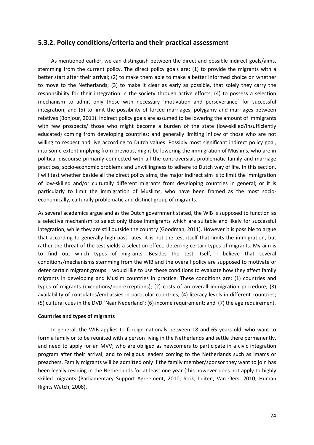### **5.3.2. Policy conditions/criteria and their practical assessment**

 As mentioned earlier, we can distinguish between the direct and possible indirect goals/aims, stemming from the current policy. The direct policy goals are: (1) to provide the migrants with a better start after their arrival; (2) to make them able to make a better informed choice on whether to move to the Netherlands; (3) to make it clear as early as possible, that solely they carry the responsibility for their integration in the society through active efforts; (4) to possess a selection mechanism to admit only those with necessary ´motivation and perseverance´ for successful integration; and (5) to limit the possibility of forced marriages, polygamy and marriages between relatives (Bonjour, 2011). Indirect policy goals are assumed to be lowering the amount of immigrants with few prospects/ those who might become a burden of the state (low-skilled/insufficiently educated) coming from developing countries; and generally limiting inflow of those who are not willing to respect and live according to Dutch values. Possibly most significant indirect policy goal, into some extent implying from previous, might be lowering the immigration of Muslims, who are in political discourse primarily connected with all the controversial, problematic family and marriage practices, socio-economic problems and unwillingness to adhere to Dutch way of life. In this section, I will test whether beside all the direct policy aims, the major indirect aim is to limit the immigration of low-skilled and/or culturally different migrants from developing countries in general; or it is particularly to limit the immigration of Muslims, who have been framed as the most socioeconomically, culturally problematic and distinct group of migrants.

As several academics argue and as the Dutch government stated, the WIB is supposed to function as a selective mechanism to select only those immigrants which are suitable and likely for successful integration, while they are still outside the country (Goodman, 2011). However it is possible to argue that according to generally high pass-rates, it is not the test itself that limits the immigration, but rather the threat of the test yields a selection effect, deterring certain types of migrants. My aim is to find out which types of migrants. Besides the test itself, I believe that several conditions/mechanisms stemming from the WIB and the overall policy are supposed to motivate or deter certain migrant groups. I would like to use these conditions to evaluate how they affect family migrants in developing and Muslim countries in practice. These conditions are: (1) countries and types of migrants (exceptions/non-exceptions); (2) costs of an overall immigration procedure; (3) availability of consulates/embassies in particular countries; (4) literacy levels in different countries; (5) cultural cues in the DVD ´Naar Nederland´; (6) income requirement; and (7) the age requirement.

### **Countries and types of migrants**

 In general, the WIB applies to foreign nationals between 18 and 65 years old, who want to form a family or to be reunited with a person living in the Netherlands and settle there permanently, and need to apply for an MVV; who are obliged as newcomers to participate in a civic integration program after their arrival; and to religious leaders coming to the Netherlands such as imams or preachers. Family migrants will be admitted only if the family member/sponsor they want to join has been legally residing in the Netherlands for at least one year (this however does not apply to highly skilled migrants (Parliamentary Support Agreement, 2010; Strik, Luiten, Van Oers, 2010; Human Rights Watch, 2008).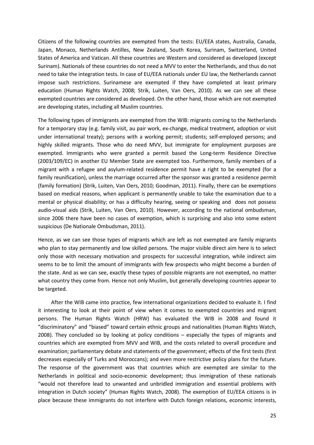Citizens of the following countries are exempted from the tests: EU/EEA states, Australia, Canada, Japan, Monaco, Netherlands Antilles, New Zealand, South Korea, Surinam, Switzerland, United States of America and Vatican. All these countries are Western and considered as developed (except Surinam). Nationals of these countries do not need a MVV to enter the Netherlands, and thus do not need to take the integration tests. In case of EU/EEA nationals under EU law, the Netherlands cannot impose such restrictions. Surinamese are exempted if they have completed at least primary education (Human Rights Watch, 2008; Strik, Luiten, Van Oers, 2010). As we can see all these exempted countries are considered as developed. On the other hand, those which are not exempted are developing states, including all Muslim countries.

The following types of immigrants are exempted from the WIB: migrants coming to the Netherlands for a temporary stay (e.g. family visit, au pair work, ex-change, medical treatment, adoption or visit under international treaty); persons with a working permit; students; self-employed persons; and highly skilled migrants. Those who do need MVV, but immigrate for employment purposes are exempted. Immigrants who were granted a permit based the Long-term Residence Directive (2003/109/EC) in another EU Member State are exempted too. Furthermore, family members of a migrant with a refugee and asylum-related residence permit have a right to be exempted (for a family reunification), unless the marriage occurred after the sponsor was granted a residence permit (family formation) (Strik, Luiten, Van Oers, 2010; Goodman, 2011). Finally, there can be exemptions based on medical reasons, when applicant is permanently unable to take the examination due to a mental or physical disability; or has a difficulty hearing, seeing or speaking and does not possess audio-visual aids (Strik, Luiten, Van Oers, 2010). However, according to the national ombudsman, since 2006 there have been no cases of exemption, which is surprising and also into some extent suspicious (De Nationale Ombudsman, 2011).

Hence, as we can see those types of migrants which are left as not exempted are family migrants who plan to stay permanently and low skilled persons. The major visible direct aim here is to select only those with necessary motivation and prospects for successful integration, while indirect aim seems to be to limit the amount of immigrants with few prospects who might become a burden of the state. And as we can see, exactly these types of possible migrants are not exempted, no matter what country they come from. Hence not only Muslim, but generally developing countries appear to be targeted.

 After the WIB came into practice, few international organizations decided to evaluate it. I find it interesting to look at their point of view when it comes to exempted countries and migrant persons. The Human Rights Watch (HRW) has evaluated the WIB in 2008 and found it "discriminatory" and "biased" toward certain ethnic groups and nationalities (Human Rights Watch, 2008). They concluded so by looking at policy conditions – especially the types of migrants and countries which are exempted from MVV and WIB, and the costs related to overall procedure and examination; parliamentary debate and statements of the government; effects of the first tests (first decreases especially of Turks and Moroccans); and even more restrictive policy plans for the future. The response of the government was that countries which are exempted are similar to the Netherlands in political and socio-economic development; thus immigration of these nationals "would not therefore lead to unwanted and unbridled immigration and essential problems with integration in Dutch society" (Human Rights Watch, 2008). The exemption of EU/EEA citizens is in place because these immigrants do not interfere with Dutch foreign relations, economic interests,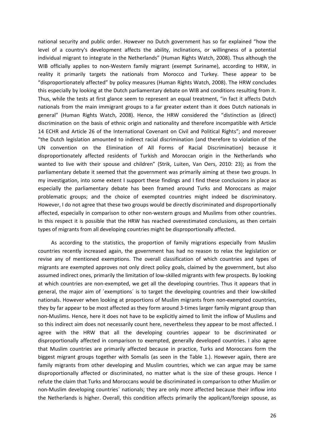national security and public order. However no Dutch government has so far explained "how the level of a country's development affects the ability, inclinations, or willingness of a potential individual migrant to integrate in the Netherlands" (Human Rights Watch, 2008). Thus although the WIB officially applies to non-Western family migrant (exempt Suriname), according to HRW, in reality it primarily targets the nationals from Morocco and Turkey. These appear to be "disproportionately affected" by policy measures (Human Rights Watch, 2008). The HRW concludes this especially by looking at the Dutch parliamentary debate on WIB and conditions resulting from it. Thus, while the tests at first glance seem to represent an equal treatment, "in fact it affects Dutch nationals from the main immigrant groups to a far greater extent than it does Dutch nationals in general" (Human Rights Watch, 2008). Hence, the HRW considered the "distinction as (direct) discrimination on the basis of ethnic origin and nationality and therefore incompatible with Article 14 ECHR and Article 26 of the International Covenant on Civil and Political Rights"; and moreover "the Dutch legislation amounted to indirect racial discrimination (and therefore to violation of the UN convention on the Elimination of All Forms of Racial Discrimination) because it disproportionately affected residents of Turkish and Moroccan origin in the Netherlands who wanted to live with their spouse and children" (Strik, Luiten, Van Oers, 2010: 23); as from the parliamentary debate it seemed that the government was primarily aiming at these two groups. In my investigation, into some extent I support these findings and I find these conclusions in place as especially the parliamentary debate has been framed around Turks and Moroccans as major problematic groups; and the choice of exempted countries might indeed be discriminatory. However, I do not agree that these two groups would be directly discriminated and disproportionally affected, especially in comparison to other non-western groups and Muslims from other countries. In this respect it is possible that the HRW has reached overestimated conclusions, as then certain types of migrants from all developing countries might be disproportionally affected.

 As according to the statistics, the proportion of family migrations especially from Muslim countries recently increased again, the government has had no reason to relax the legislation or revise any of mentioned exemptions. The overall classification of which countries and types of migrants are exempted approves not only direct policy goals, claimed by the government, but also assumed indirect ones, primarily the limitation of low-skilled migrants with few prospects. By looking at which countries are non-exempted, we get all the developing countries. Thus it appears that in general, the major aim of ´exemptions´ is to target the developing countries and their low-skilled nationals. However when looking at proportions of Muslim migrants from non-exempted countries, they by far appear to be most affected as they form around 3-times larger family migrant group than non-Muslims. Hence, here it does not have to be explicitly aimed to limit the inflow of Muslims and so this indirect aim does not necessarily count here, nevertheless they appear to be most affected. I agree with the HRW that all the developing countries appear to be discriminated or disproportionally affected in comparison to exempted, generally developed countries. I also agree that Muslim countries are primarily affected because in practice, Turks and Moroccans form the biggest migrant groups together with Somalis (as seen in the Table 1.). However again, there are family migrants from other developing and Muslim countries, which we can argue may be same disproportionally affected or discriminated, no matter what is the size of these groups. Hence I refute the claim that Turks and Moroccans would be discriminated in comparison to other Muslim or non-Muslim developing countries´ nationals; they are only more affected because their inflow into the Netherlands is higher. Overall, this condition affects primarily the applicant/foreign spouse, as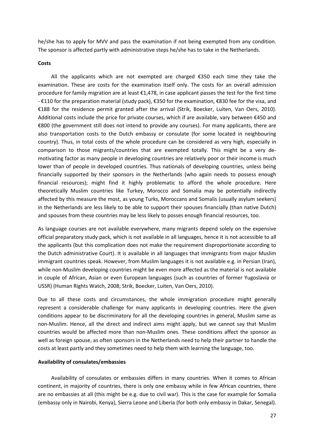he/she has to apply for MVV and pass the examination if not being exempted from any condition. The sponsor is affected partly with administrative steps he/she has to take in the Netherlands.

### **Costs**

 All the applicants which are not exempted are charged €350 each time they take the examination. These are costs for the examination itself only. The costs for an overall admission procedure for family migration are at least €1,478, in case applicant passes the test for the first time - €110 for the preparation material (study pack), €350 for the examination, €830 fee for the visa, and €188 for the residence permit granted after the arrival (Strik, Boecker, Luiten, Van Oers, 2010). Additional costs include the price for private courses, which if are available, vary between €450 and €800 (the government still does not intend to provide any courses). For many applicants, there are also transportation costs to the Dutch embassy or consulate (for some located in neighbouring country). Thus, in total costs of the whole procedure can be considered as very high, especially in comparison to those migrants/countries that are exempted totally. This might be a very demotivating factor as many people in developing countries are relatively poor or their income is much lower than of people in developed countries. Thus nationals of developing countries, unless being financially supported by their sponsors in the Netherlands (who again needs to possess enough financial resources); might find it highly problematic to afford the whole procedure. Here theoretically Muslim countries like Turkey, Morocco and Somalia may be potentially indirectly affected by this measure the most, as young Turks, Moroccans and Somalis (usually asylum seekers) in the Netherlands are less likely to be able to support their spouses financially (than native Dutch) and spouses from these countries may be less likely to posses enough financial resources, too.

As language courses are not available everywhere, many migrants depend solely on the expensive official preparatory study pack, which is not available in all languages, hence it is not accessible to all the applicants (but this complication does not make the requirement disproportionate according to the Dutch administrative Court). It is available in all languages that immigrants from major Muslim immigrant countries speak. However, from Muslim languages it is not available e.g. in Persian (Iran), while non-Muslim developing countries might be even more affected as the material is not available in couple of African, Asian or even European languages (such as countries of former Yugoslavia or USSR) (Human Rights Watch, 2008; Strik, Boecker, Luiten, Van Oers, 2010).

Due to all these costs and circumstances, the whole immigration procedure might generally represent a considerable challenge for many applicants in developing countries. Here the given conditions appear to be discriminatory for all the developing countries in general, Muslim same as non-Muslim. Hence, all the direct and indirect aims might apply, but we cannot say that Muslim countries would be affected more than non-Muslim ones. These conditions affect the sponsor as well as foreign spouse, as often sponsors in the Netherlands need to help their partner to handle the costs at least partly and they sometimes need to help them with learning the language, too.

### **Availability of consulates/embassies**

 Availability of consulates or embassies differs in many countries. When it comes to African continent, in majority of countries, there is only one embassy while in few African countries, there are no embassies at all (this might be e.g. due to civil war). This is the case for example for Somalia (embassy only in Nairobi, Kenya), Sierra Leone and Liberia (for both only embassy in Dakar, Senegal).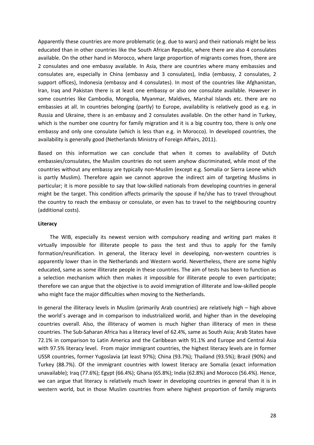Apparently these countries are more problematic (e.g. due to wars) and their nationals might be less educated than in other countries like the South African Republic, where there are also 4 consulates available. On the other hand in Morocco, where large proportion of migrants comes from, there are 2 consulates and one embassy available. In Asia, there are countries where many embassies and consulates are, especially in China (embassy and 3 consulates), India (embassy, 2 consulates, 2 support offices), Indonesia (embassy and 4 consulates). In most of the countries like Afghanistan, Iran, Iraq and Pakistan there is at least one embassy or also one consulate available. However in some countries like Cambodia, Mongolia, Myanmar, Maldives, Marshal Islands etc. there are no embassies at all. In countries belonging (partly) to Europe, availability is relatively good as e.g. in Russia and Ukraine, there is an embassy and 2 consulates available. On the other hand in Turkey, which is the number one country for family migration and it is a big country too, there is only one embassy and only one consulate (which is less than e.g. in Morocco). In developed countries, the availability is generally good (Netherlands Ministry of Foreign Affairs, 2011).

Based on this information we can conclude that when it comes to availability of Dutch embassies/consulates, the Muslim countries do not seem anyhow discriminated, while most of the countries without any embassy are typically non-Muslim (except e.g. Somalia or Sierra Leone which is partly Muslim). Therefore again we cannot approve the indirect aim of targeting Muslims in particular; it is more possible to say that low-skilled nationals from developing countries in general might be the target. This condition affects primarily the spouse if he/she has to travel throughout the country to reach the embassy or consulate, or even has to travel to the neighbouring country (additional costs).

### **Literacy**

 The WIB, especially its newest version with compulsory reading and writing part makes it virtually impossible for illiterate people to pass the test and thus to apply for the family formation/reunification. In general, the literacy level in developing, non-western countries is apparently lower than in the Netherlands and Western world. Nevertheless, there are some highly educated, same as some illiterate people in these countries. The aim of tests has been to function as a selection mechanism which then makes it impossible for illiterate people to even participate; therefore we can argue that the objective is to avoid immigration of illiterate and low-skilled people who might face the major difficulties when moving to the Netherlands.

In general the illiteracy levels in Muslim (primarily Arab countries) are relatively high – high above the world´s average and in comparison to industrialized world, and higher than in the developing countries overall. Also, the illiteracy of women is much higher than illiteracy of men in these countries. The Sub-Saharan Africa has a literacy level of 62.4%, same as South Asia; Arab States have 72.1% in comparison to Latin America and the Caribbean with 91.1% and Europe and Central Asia with 97.5% literacy level. From major immigrant countries, the highest literacy levels are in former USSR countries, former Yugoslavia (at least 97%); China (93.7%); Thailand (93.5%); Brazil (90%) and Turkey (88.7%). Of the immigrant countries with lowest literacy are Somalia (exact information unavailable); Iraq (77.6%); Egypt (66.4%); Ghana (65.8%); India (62.8%) and Morocco (56.4%). Hence, we can argue that literacy is relatively much lower in developing countries in general than it is in western world, but in those Muslim countries from where highest proportion of family migrants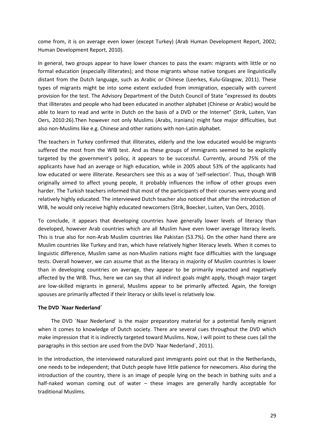come from, it is on average even lower (except Turkey) (Arab Human Development Report, 2002; Human Development Report, 2010).

In general, two groups appear to have lower chances to pass the exam: migrants with little or no formal education (especially illiterates); and those migrants whose native tongues are linguistically distant from the Dutch language, such as Arabic or Chinese (Leerkes, Kulu-Glasgow, 2011). These types of migrants might be into some extent excluded from immigration, especially with current provision for the test. The Advisory Department of the Dutch Council of State "expressed its doubts that illiterates and people who had been educated in another alphabet (Chinese or Arabic) would be able to learn to read and write in Dutch on the basis of a DVD or the Internet" (Strik, Luiten, Van Oers, 2010:26).Then however not only Muslims (Arabs, Iranians) might face major difficulties, but also non-Muslims like e.g. Chinese and other nations with non-Latin alphabet.

The teachers in Turkey confirmed that illiterates, elderly and the low educated would-be migrants suffered the most from the WIB test. And as these groups of immigrants seemed to be explicitly targeted by the government's policy, it appears to be successful. Currently, around 75% of the applicants have had an average or high education, while in 2005 about 53% of the applicants had low educated or were illiterate. Researchers see this as a way of 'self-selection'. Thus, though WIB originally aimed to affect young people, it probably influences the inflow of other groups even harder. The Turkish teachers informed that most of the participants of their courses were young and relatively highly educated. The interviewed Dutch teacher also noticed that after the introduction of WIB, he would only receive highly educated newcomers (Strik, Boecker, Luiten, Van Oers, 2010).

To conclude, it appears that developing countries have generally lower levels of literacy than developed, however Arab countries which are all Muslim have even lower average literacy levels. This is true also for non-Arab Muslim countries like Pakistan (53.7%). On the other hand there are Muslim countries like Turkey and Iran, which have relatively higher literacy levels. When it comes to linguistic difference, Muslim same as non-Muslim nations might face difficulties with the language tests. Overall however, we can assume that as the literacy in majority of Muslim countries is lower than in developing countries on average, they appear to be primarily impacted and negatively affected by the WIB. Thus, here we can say that all indirect goals might apply, though major target are low-skilled migrants in general, Muslims appear to be primarily affected. Again, the foreign spouses are primarily affected if their literacy or skills level is relatively low.

### **The DVD ´Naar Nederland´**

 The DVD ´Naar Nederland´ is the major preparatory material for a potential family migrant when it comes to knowledge of Dutch society. There are several cues throughout the DVD which make impression that it is indirectly targeted toward Muslims. Now, I will point to these cues (all the paragraphs in this section are used from the DVD ´Naar Nederland´, 2011).

In the introduction, the interviewed naturalized past immigrants point out that in the Netherlands, one needs to be independent; that Dutch people have little patience for newcomers. Also during the introduction of the country, there is an image of people lying on the beach in bathing suits and a half-naked woman coming out of water – these images are generally hardly acceptable for traditional Muslims.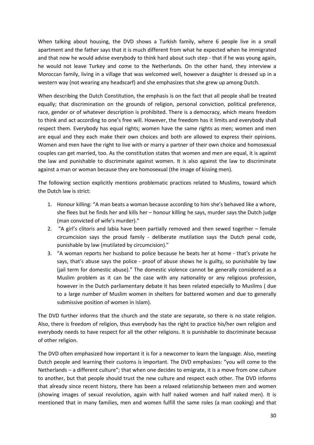When talking about housing, the DVD shows a Turkish family, where 6 people live in a small apartment and the father says that it is much different from what he expected when he immigrated and that now he would advise everybody to think hard about such step - that if he was young again, he would not leave Turkey and come to the Netherlands. On the other hand, they interview a Moroccan family, living in a village that was welcomed well, however a daughter is dressed up in a western way (not wearing any headscarf) and she emphasizes that she grew up among Dutch.

When describing the Dutch Constitution, the emphasis is on the fact that all people shall be treated equally; that discrimination on the grounds of religion, personal conviction, political preference, race, gender or of whatever description is prohibited. There is a democracy, which means freedom to think and act according to one's free will. However, the freedom has it limits and everybody shall respect them. Everybody has equal rights; women have the same rights as men; women and men are equal and they each make their own choices and both are allowed to express their opinions. Women and men have the right to live with or marry a partner of their own choice and homosexual couples can get married, too. As the constitution states that women and men are equal, it is against the law and punishable to discriminate against women. It is also against the law to discriminate against a man or woman because they are homosexual (the image of kissing men).

The following section explicitly mentions problematic practices related to Muslims, toward which the Dutch law is strict:

- 1. Honour killing: "A man beats a woman because according to him she's behaved like a whore, she flees but he finds her and kills her – honour killing he says, murder says the Dutch judge (man convicted of wife's murder)."
- 2. "A girl's clitoris and labia have been partially removed and then sewed together female circumcision says the proud family - deliberate mutilation says the Dutch penal code, punishable by law (mutilated by circumcision)."
- 3. "A woman reports her husband to police because he beats her at home that's private he says, that's abuse says the police - proof of abuse shows he is guilty, so punishable by law (jail term for domestic abuse)." The domestic violence cannot be generally considered as a Muslim problem as it can be the case with any nationality or any religious profession, however in the Dutch parliamentary debate it has been related especially to Muslims ( due to a large number of Muslim women in shelters for battered women and due to generally submissive position of women in Islam).

The DVD further informs that the church and the state are separate, so there is no state religion. Also, there is freedom of religion, thus everybody has the right to practice his/her own religion and everybody needs to have respect for all the other religions. It is punishable to discriminate because of other religion.

The DVD often emphasized how important it is for a newcomer to learn the language. Also, meeting Dutch people and learning their customs is important. The DVD emphasizes: "you will come to the Netherlands – a different culture"; that when one decides to emigrate, it is a move from one culture to another, but that people should trust the new culture and respect each other. The DVD informs that already since recent history, there has been a relaxed relationship between men and women (showing images of sexual revolution, again with half naked women and half naked men). It is mentioned that in many families, men and women fulfill the same roles (a man cooking) and that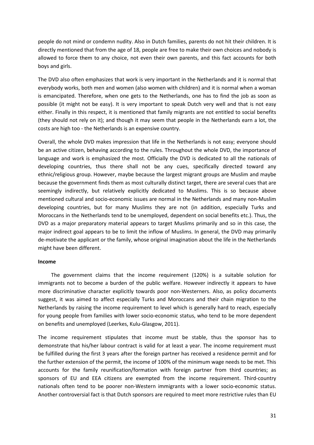people do not mind or condemn nudity. Also in Dutch families, parents do not hit their children. It is directly mentioned that from the age of 18, people are free to make their own choices and nobody is allowed to force them to any choice, not even their own parents, and this fact accounts for both boys and girls.

The DVD also often emphasizes that work is very important in the Netherlands and it is normal that everybody works, both men and women (also women with children) and it is normal when a woman is emancipated. Therefore, when one gets to the Netherlands, one has to find the job as soon as possible (it might not be easy). It is very important to speak Dutch very well and that is not easy either. Finally in this respect, it is mentioned that family migrants are not entitled to social benefits (they should not rely on it); and though it may seem that people in the Netherlands earn a lot, the costs are high too - the Netherlands is an expensive country.

Overall, the whole DVD makes impression that life in the Netherlands is not easy; everyone should be an active citizen, behaving according to the rules. Throughout the whole DVD, the importance of language and work is emphasized the most. Officially the DVD is dedicated to all the nationals of developing countries, thus there shall not be any cues, specifically directed toward any ethnic/religious group. However, maybe because the largest migrant groups are Muslim and maybe because the government finds them as most culturally distinct target, there are several cues that are seemingly indirectly, but relatively explicitly dedicated to Muslims. This is so because above mentioned cultural and socio-economic issues are normal in the Netherlands and many non-Muslim developing countries, but for many Muslims they are not (in addition, especially Turks and Moroccans in the Netherlands tend to be unemployed, dependent on social benefits etc.). Thus, the DVD as a major preparatory material appears to target Muslims primarily and so in this case, the major indirect goal appears to be to limit the inflow of Muslims. In general, the DVD may primarily de-motivate the applicant or the family, whose original imagination about the life in the Netherlands might have been different.

### **Income**

 The government claims that the income requirement (120%) is a suitable solution for immigrants not to become a burden of the public welfare. However indirectly it appears to have more discriminative character explicitly towards poor non-Westerners. Also, as policy documents suggest, it was aimed to affect especially Turks and Moroccans and their chain migration to the Netherlands by raising the income requirement to level which is generally hard to reach, especially for young people from families with lower socio-economic status, who tend to be more dependent on benefits and unemployed (Leerkes, Kulu-Glasgow, 2011).

The income requirement stipulates that income must be stable, thus the sponsor has to demonstrate that his/her labour contract is valid for at least a year. The income requirement must be fulfilled during the first 3 years after the foreign partner has received a residence permit and for the further extension of the permit, the income of 100% of the minimum wage needs to be met. This accounts for the family reunification/formation with foreign partner from third countries; as sponsors of EU and EEA citizens are exempted from the income requirement. Third-country nationals often tend to be poorer non-Western immigrants with a lower socio-economic status. Another controversial fact is that Dutch sponsors are required to meet more restrictive rules than EU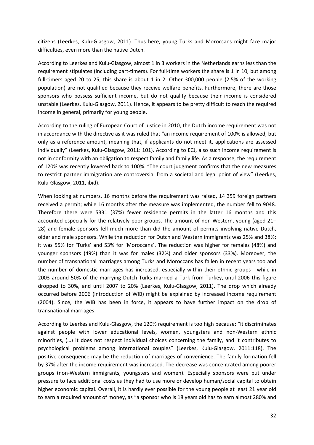citizens (Leerkes, Kulu-Glasgow, 2011). Thus here, young Turks and Moroccans might face major difficulties, even more than the native Dutch.

According to Leerkes and Kulu-Glasgow, almost 1 in 3 workers in the Netherlands earns less than the requirement stipulates (including part-timers). For full-time workers the share is 1 in 10, but among full-timers aged 20 to 25, this share is about 1 in 2. Other 300,000 people (2.5% of the working population) are not qualified because they receive welfare benefits. Furthermore, there are those sponsors who possess sufficient income, but do not qualify because their income is considered unstable (Leerkes, Kulu-Glasgow, 2011). Hence, it appears to be pretty difficult to reach the required income in general, primarily for young people.

According to the ruling of European Court of Justice in 2010, the Dutch income requirement was not in accordance with the directive as it was ruled that "an income requirement of 100% is allowed, but only as a reference amount, meaning that, if applicants do not meet it, applications are assessed individually" (Leerkes, Kulu-Glasgow, 2011: 101). According to ECJ, also such income requirement is not in conformity with an obligation to respect family and family life. As a response, the requirement of 120% was recently lowered back to 100%. "The court judgment confirms that the new measures to restrict partner immigration are controversial from a societal and legal point of view" (Leerkes, Kulu-Glasgow, 2011, ibid).

When looking at numbers, 16 months before the requirement was raised, 14 359 foreign partners received a permit; while 16 months after the measure was implemented, the number fell to 9048. Therefore there were 5331 (37%) fewer residence permits in the latter 16 months and this accounted especially for the relatively poor groups. The amount of non-Western, young (aged 21– 28) and female sponsors fell much more than did the amount of permits involving native Dutch, older and male sponsors. While the reduction for Dutch and Western immigrants was 25% and 38%; it was 55% for 'Turks' and 53% for 'Moroccans´. The reduction was higher for females (48%) and younger sponsors (49%) than it was for males (32%) and older sponsors (33%). Moreover, the number of transnational marriages among Turks and Moroccans has fallen in recent years too and the number of domestic marriages has increased, especially within their ethnic groups - while in 2003 around 50% of the marrying Dutch Turks married a Turk from Turkey, until 2006 this figure dropped to 30%, and until 2007 to 20% (Leerkes, Kulu-Glasgow, 2011). The drop which already occurred before 2006 (introduction of WIB) might be explained by increased income requirement (2004). Since, the WIB has been in force, it appears to have further impact on the drop of transnational marriages.

According to Leerkes and Kulu-Glasgow, the 120% requirement is too high because: "it discriminates against people with lower educational levels, women, youngsters and non-Western ethnic minorities, (…) it does not respect individual choices concerning the family, and it contributes to psychological problems among international couples" (Leerkes, Kulu-Glasgow, 2011:118). The positive consequence may be the reduction of marriages of convenience. The family formation fell by 37% after the income requirement was increased. The decrease was concentrated among poorer groups (non-Western immigrants, youngsters and women). Especially sponsors were put under pressure to face additional costs as they had to use more or develop human/social capital to obtain higher economic capital. Overall, it is hardly ever possible for the young people at least 21 year old to earn a required amount of money, as "a sponsor who is 18 years old has to earn almost 280% and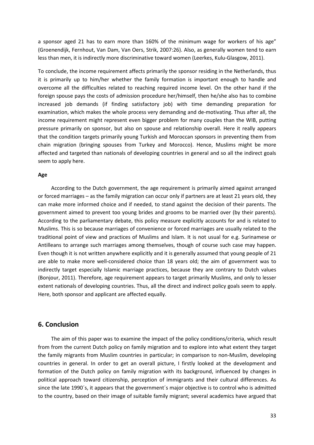a sponsor aged 21 has to earn more than 160% of the minimum wage for workers of his age" (Groenendijk, Fernhout, Van Dam, Van Oers, Strik, 2007:26). Also, as generally women tend to earn less than men, it is indirectly more discriminative toward women (Leerkes, Kulu-Glasgow, 2011).

To conclude, the income requirement affects primarily the sponsor residing in the Netherlands, thus it is primarily up to him/her whether the family formation is important enough to handle and overcome all the difficulties related to reaching required income level. On the other hand if the foreign spouse pays the costs of admission procedure her/himself, then he/she also has to combine increased job demands (if finding satisfactory job) with time demanding preparation for examination, which makes the whole process very demanding and de-motivating. Thus after all, the income requirement might represent even bigger problem for many couples than the WIB, putting pressure primarily on sponsor, but also on spouse and relationship overall. Here it really appears that the condition targets primarily young Turkish and Moroccan sponsors in preventing them from chain migration (bringing spouses from Turkey and Morocco). Hence, Muslims might be more affected and targeted than nationals of developing countries in general and so all the indirect goals seem to apply here.

#### **Age**

 According to the Dutch government, the age requirement is primarily aimed against arranged or forced marriages – as the family migration can occur only if partners are at least 21 years old, they can make more informed choice and if needed, to stand against the decision of their parents. The government aimed to prevent too young brides and grooms to be married over (by their parents). According to the parliamentary debate, this policy measure explicitly accounts for and is related to Muslims. This is so because marriages of convenience or forced marriages are usually related to the traditional point of view and practices of Muslims and Islam. It is not usual for e.g. Surinamese or Antilleans to arrange such marriages among themselves, though of course such case may happen. Even though it is not written anywhere explicitly and it is generally assumed that young people of 21 are able to make more well-considered choice than 18 years old; the aim of government was to indirectly target especially Islamic marriage practices, because they are contrary to Dutch values (Bonjour, 2011). Therefore, age requirement appears to target primarily Muslims, and only to lesser extent nationals of developing countries. Thus, all the direct and indirect policy goals seem to apply. Here, both sponsor and applicant are affected equally.

### **6. Conclusion**

 The aim of this paper was to examine the impact of the policy conditions/criteria, which result from from the current Dutch policy on family migration and to explore into what extent they target the family migrants from Muslim countries in particular; in comparison to non-Muslim, developing countries in general. In order to get an overall picture, I firstly looked at the development and formation of the Dutch policy on family migration with its background, influenced by changes in political approach toward citizenship, perception of immigrants and their cultural differences. As since the late 1990´s, it appears that the government´s major objective is to control who is admitted to the country, based on their image of suitable family migrant; several academics have argued that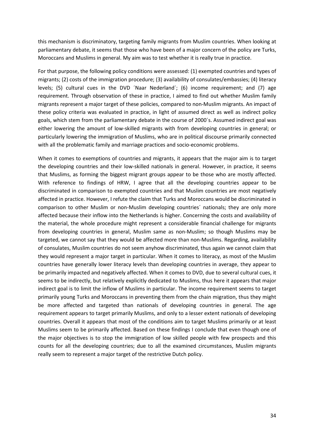this mechanism is discriminatory, targeting family migrants from Muslim countries. When looking at parliamentary debate, it seems that those who have been of a major concern of the policy are Turks, Moroccans and Muslims in general. My aim was to test whether it is really true in practice.

For that purpose, the following policy conditions were assessed: (1) exempted countries and types of migrants; (2) costs of the immigration procedure; (3) availability of consulates/embassies; (4) literacy levels; (5) cultural cues in the DVD ´Naar Nederland´; (6) income requirement; and (7) age requirement. Through observation of these in practice, I aimed to find out whether Muslim family migrants represent a major target of these policies, compared to non-Muslim migrants. An impact of these policy criteria was evaluated in practice, in light of assumed direct as well as indirect policy goals, which stem from the parliamentary debate in the course of 2000´s. Assumed indirect goal was either lowering the amount of low-skilled migrants with from developing countries in general; or particularly lowering the immigration of Muslims, who are in political discourse primarily connected with all the problematic family and marriage practices and socio-economic problems.

When it comes to exemptions of countries and migrants, it appears that the major aim is to target the developing countries and their low-skilled nationals in general. However, in practice, it seems that Muslims, as forming the biggest migrant groups appear to be those who are mostly affected. With reference to findings of HRW, I agree that all the developing countries appear to be discriminated in comparison to exempted countries and that Muslim countries are most negatively affected in practice. However, I refute the claim that Turks and Moroccans would be discriminated in comparison to other Muslim or non-Muslim developing countries´ nationals; they are only more affected because their inflow into the Netherlands is higher. Concerning the costs and availability of the material, the whole procedure might represent a considerable financial challenge for migrants from developing countries in general, Muslim same as non-Muslim; so though Muslims may be targeted, we cannot say that they would be affected more than non-Muslims. Regarding, availability of consulates, Muslim countries do not seem anyhow discriminated, thus again we cannot claim that they would represent a major target in particular. When it comes to literacy, as most of the Muslim countries have generally lower literacy levels than developing countries in average, they appear to be primarily impacted and negatively affected. When it comes to DVD, due to several cultural cues, it seems to be indirectly, but relatively explicitly dedicated to Muslims, thus here it appears that major indirect goal is to limit the inflow of Muslims in particular. The income requirement seems to target primarily young Turks and Moroccans in preventing them from the chain migration, thus they might be more affected and targeted than nationals of developing countries in general. The age requirement appears to target primarily Muslims, and only to a lesser extent nationals of developing countries. Overall it appears that most of the conditions aim to target Muslims primarily or at least Muslims seem to be primarily affected. Based on these findings I conclude that even though one of the major objectives is to stop the immigration of low skilled people with few prospects and this counts for all the developing countries; due to all the examined circumstances, Muslim migrants really seem to represent a major target of the restrictive Dutch policy.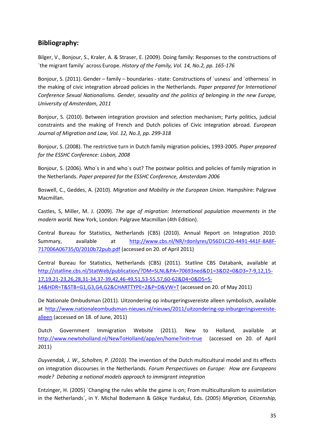# **Bibliography:**

Bilger, V., Bonjour, S., Kraler, A. & Straser, E. (2009). Doing family: Responses to the constructions of ´the migrant family´ across Europe. *History of the Family, Vol. 14, No.2, pp. 165-176*

Bonjour, S. (2011). Gender – family – boundaries - state: Constructions of ´usness´ and ´otherness´ in the making of civic integration abroad policies in the Netherlands. *Paper prepared for International Conference Sexual Nationalisms. Gender, sexuality and the politics of belonging in the new Europe, University of Amsterdam, 2011* 

Bonjour, S. (2010). Between integration provision and selection mechanism; Party politics, judicial constraints and the making of French and Dutch policies of Civic integration abroad. *European Journal of Migration and Law, Vol. 12, No.3, pp. 299-318* 

Bonjour, S. (2008). The restrictive turn in Dutch family migration policies, 1993-2005. *Paper prepared for the ESSHC Conference: Lisbon, 2008* 

Bonjour, S. (2006). Who´s in and who´s out? The postwar politics and policies of family migration in the Netherlands. *Paper prepared for the ESSHC Conference, Amsterdam 2006* 

Boswell, C., Geddes, A. (2010). *Migration and Mobility in the European Union.* Hampshire: Palgrave Macmillan.

Castles, S, Miller, M. J. (2009). *The age of migration: International population movements in the modern world.* New York, London: Palgrave Macmillan (4th Edition).

Central Bureau for Statistics, Netherlands (CBS) (2010). Annual Report on Integration 2010: Summary, available at http://www.cbs.nl/NR/rdonlyres/D56D1C20-4491-441F-8A8F-717006A06735/0/2010b72pub.pdf (accessed on 20. of April 2011)

Central Bureau for Statistics, Netherlands (CBS) (2011). Statline CBS Databank, available at http://statline.cbs.nl/StatWeb/publication/?DM=SLNL&PA=70693ned&D1=3&D2=0&D3=7-9,12,15- 17,19,21-23,26,28,31-34,37-39,42,46-49,51,53-55,57,60-62&D4=0&D5=5- 14&HDR=T&STB=G1,G3,G4,G2&CHARTTYPE=2&P=D&VW=T (accessed on 20. of May 2011)

De Nationale Ombudsman (2011). Uitzondering op inburgeringsvereiste alleen symbolisch, available at http://www.nationaleombudsman-nieuws.nl/nieuws/2011/uitzondering-op-inburgeringsvereistealleen (accessed on 18. of June, 2011)

Dutch Government Immigration Website (2011). New to Holland, available at http://www.newtoholland.nl/NewToHolland/app/en/home?init=true (accessed on 20. of April 2011)

*Duyvendak, J. W., Scholten, P. (2010).* The invention of the Dutch multicultural model and its effects on integration discourses in the Netherlands. *Forum Perspectiuves on Europe: How are Europeans made? Debating a national models approach to immigrant integration* 

Entzinger, H. (2005) ´Changing the rules while the game is on; From multiculturalism to assimilation in the Netherlands´, in Y. Michal Bodemann & Gökçe Yurdakul, Eds. (2005) *Migration, Citizenship,*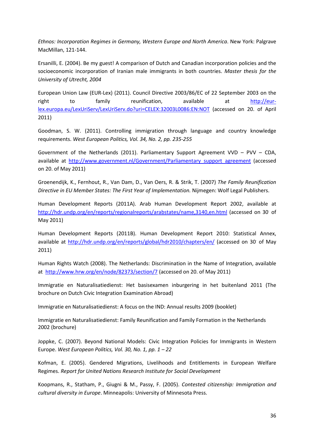*Ethnos: Incorporation Regimes in Germany, Western Europe and North America*. New York: Palgrave MacMillan, 121-144.

Ersanilli, E. (2004). Be my guest! A comparison of Dutch and Canadian incorporation policies and the socioeconomic incorporation of Iranian male immigrants in both countries. *Master thesis for the University of Utrecht, 2004*

European Union Law (EUR-Lex) (2011). Council Directive 2003/86/EC of 22 September 2003 on the right to family reunification, available at http://eurlex.europa.eu/LexUriServ/LexUriServ.do?uri=CELEX:32003L0086:EN:NOT (accessed on 20. of April 2011)

Goodman, S. W. (2011). Controlling immigration through language and country knowledge requirements. *West European Politics, Vol. 34, No. 2, pp. 235-255*

Government of the Netherlands (2011). Parliamentary Support Agreement VVD – PVV – CDA, available at http://www.government.nl/Government/Parliamentary\_support\_agreement (accessed on 20. of May 2011)

Groenendijk, K., Fernhout, R., Van Dam, D., Van Oers, R. & Strik, T. (2007) *The Family Reunification Directive in EU Member States: The First Year of Implementation.* Nijmegen: Wolf Legal Publishers.

Human Development Reports (2011A). Arab Human Development Report 2002, available at http://hdr.undp.org/en/reports/regionalreports/arabstates/name,3140,en.html (accessed on 30 of May 2011)

Human Development Reports (2011B). Human Development Report 2010: Statistical Annex, available at http://hdr.undp.org/en/reports/global/hdr2010/chapters/en/ (accessed on 30 of May 2011)

Human Rights Watch (2008). The Netherlands: Discrimination in the Name of Integration, available at http://www.hrw.org/en/node/82373/section/7 (accessed on 20. of May 2011)

Immigratie en Naturalisatiedienst: Het basisexamen inburgering in het buitenland 2011 (The brochure on Dutch Civic Integration Examination Abroad)

Immigratie en Naturalisatiedienst: A focus on the IND: Annual results 2009 (booklet)

Immigratie en Naturalisatiedienst: Family Reunification and Family Formation in the Netherlands 2002 (brochure)

Joppke, C. (2007). Beyond National Models: Civic Integration Policies for Immigrants in Western Europe. *West European Politics, Vol. 30, No. 1, pp. 1 – 22*

Kofman, E. (2005). Gendered Migrations, Livelihoods and Entitlements in European Welfare Regimes. *Report for United Nations Research Institute for Social Development* 

Koopmans, R., Statham, P., Giugni & M., Passy, F. (2005). *Contested citizenship: Immigration and cultural diversity in Europe*. Minneapolis: University of Minnesota Press.